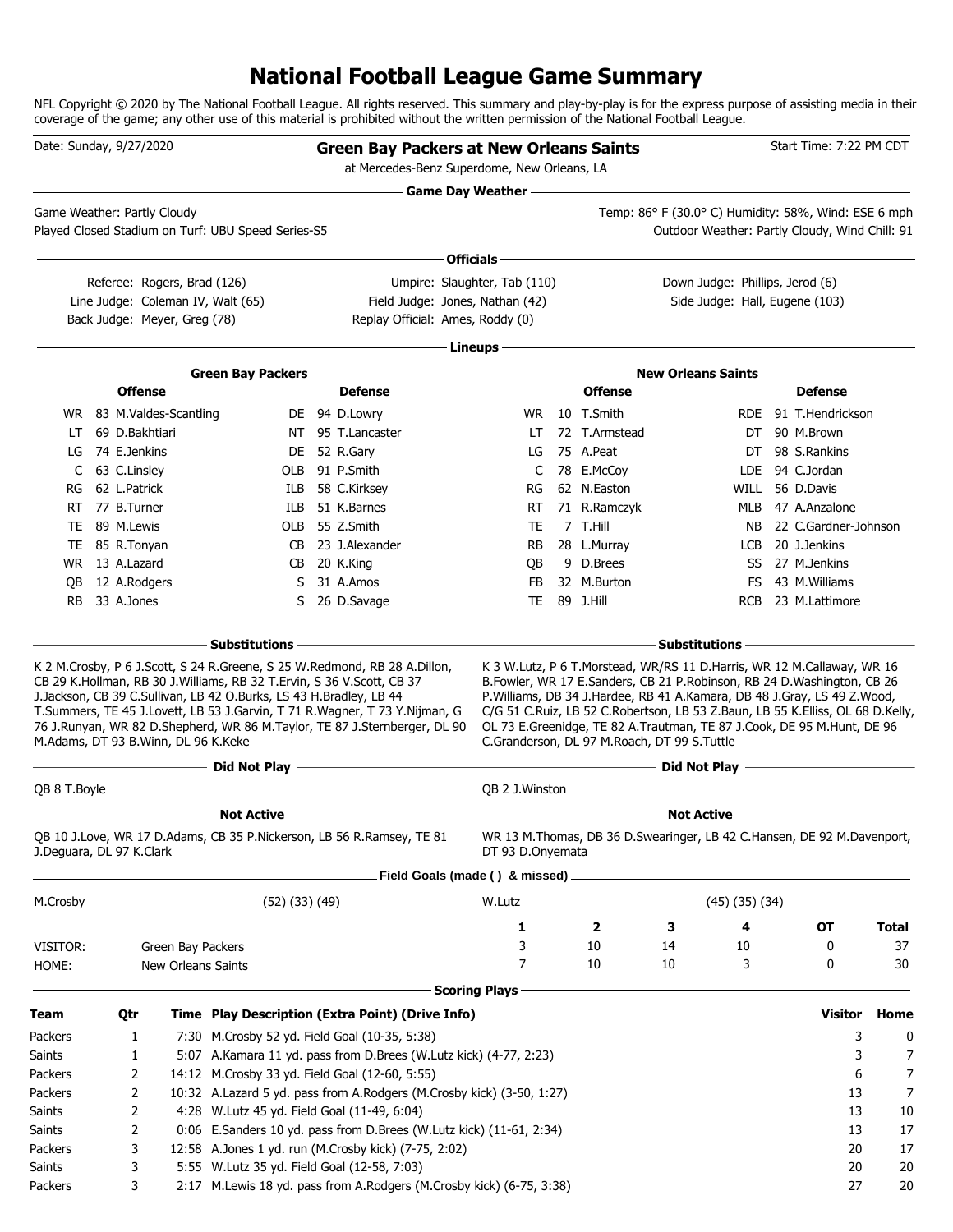# **National Football League Game Summary**

NFL Copyright © 2020 by The National Football League. All rights reserved. This summary and play-by-play is for the express purpose of assisting media in their coverage of the game; any other use of this material is prohibited without the written permission of the National Football League.

| Date: Sunday, 9/27/2020             |                |                              |                                                                    | <b>Green Bay Packers at New Orleans Saints</b>                                                                                                          |                              |                |                                                                                                                                                                                                                                                                                    |                      | Start Time: 7:22 PM CDT                    |              |
|-------------------------------------|----------------|------------------------------|--------------------------------------------------------------------|---------------------------------------------------------------------------------------------------------------------------------------------------------|------------------------------|----------------|------------------------------------------------------------------------------------------------------------------------------------------------------------------------------------------------------------------------------------------------------------------------------------|----------------------|--------------------------------------------|--------------|
|                                     |                |                              |                                                                    | at Mercedes-Benz Superdome, New Orleans, LA                                                                                                             |                              |                |                                                                                                                                                                                                                                                                                    |                      |                                            |              |
| Game Weather: Partly Cloudy         |                |                              |                                                                    |                                                                                                                                                         | <b>Game Day Weather --</b>   |                | Temp: 86° F (30.0° C) Humidity: 58%, Wind: ESE 6 mph                                                                                                                                                                                                                               |                      |                                            |              |
|                                     |                |                              | Played Closed Stadium on Turf: UBU Speed Series-S5                 |                                                                                                                                                         |                              |                | Outdoor Weather: Partly Cloudy, Wind Chill: 91                                                                                                                                                                                                                                     |                      |                                            |              |
|                                     |                |                              |                                                                    |                                                                                                                                                         | Officials -                  |                |                                                                                                                                                                                                                                                                                    |                      |                                            |              |
|                                     |                | Referee: Rogers, Brad (126)  |                                                                    |                                                                                                                                                         | Umpire: Slaughter, Tab (110) |                | Down Judge: Phillips, Jerod (6)                                                                                                                                                                                                                                                    |                      |                                            |              |
|                                     |                |                              | Line Judge: Coleman IV, Walt (65)                                  | Field Judge: Jones, Nathan (42)                                                                                                                         |                              |                | Side Judge: Hall, Eugene (103)                                                                                                                                                                                                                                                     |                      |                                            |              |
|                                     |                | Back Judge: Meyer, Greg (78) |                                                                    | Replay Official: Ames, Roddy (0)                                                                                                                        |                              |                |                                                                                                                                                                                                                                                                                    |                      |                                            |              |
|                                     |                |                              |                                                                    |                                                                                                                                                         | Lineups -                    |                |                                                                                                                                                                                                                                                                                    |                      |                                            |              |
|                                     |                |                              |                                                                    |                                                                                                                                                         |                              |                |                                                                                                                                                                                                                                                                                    |                      |                                            |              |
|                                     | <b>Offense</b> |                              | <b>Green Bay Packers</b>                                           | <b>Defense</b>                                                                                                                                          |                              | <b>Offense</b> | <b>New Orleans Saints</b>                                                                                                                                                                                                                                                          |                      | <b>Defense</b>                             |              |
|                                     |                | WR 83 M.Valdes-Scantling     |                                                                    | DE 94 D.Lowry                                                                                                                                           | WR.                          | 10 T.Smith     |                                                                                                                                                                                                                                                                                    |                      | RDE 91 T.Hendrickson                       |              |
| LT.                                 | 69 D.Bakhtiari |                              |                                                                    | NT 95 T.Lancaster                                                                                                                                       | LT                           | 72 T.Armstead  |                                                                                                                                                                                                                                                                                    |                      | DT 90 M.Brown                              |              |
| LG                                  | 74 E.Jenkins   |                              | DE                                                                 | 52 R.Gary                                                                                                                                               | LG                           | 75 A.Peat      |                                                                                                                                                                                                                                                                                    |                      | DT 98 S.Rankins                            |              |
| C                                   | 63 C.Linsley   |                              | OLB                                                                | 91 P.Smith                                                                                                                                              | C                            | 78 E.McCoy     |                                                                                                                                                                                                                                                                                    | LDE                  | 94 C.Jordan                                |              |
| RG                                  | 62 L.Patrick   |                              | ILB                                                                | 58 C.Kirksey                                                                                                                                            | RG                           | 62 N.Easton    |                                                                                                                                                                                                                                                                                    | WILL                 | 56 D.Davis                                 |              |
| RT                                  | 77 B.Turner    |                              | ILB                                                                | 51 K.Barnes                                                                                                                                             | RT                           | 71 R.Ramczyk   |                                                                                                                                                                                                                                                                                    | MLB                  | 47 A.Anzalone                              |              |
|                                     | TE 89 M.Lewis  |                              |                                                                    | OLB 55 Z.Smith                                                                                                                                          | TE                           | 7 T.Hill       |                                                                                                                                                                                                                                                                                    | NB.                  | 22 C.Gardner-Johnson                       |              |
|                                     | TE 85 R.Tonyan |                              | CB.                                                                | 23 J.Alexander                                                                                                                                          | RB                           | 28 L.Murray    |                                                                                                                                                                                                                                                                                    | LCB                  | 20 J.Jenkins                               |              |
|                                     | WR 13 A.Lazard |                              | CB                                                                 | 20 K.King                                                                                                                                               | QB                           | 9 D.Brees      |                                                                                                                                                                                                                                                                                    |                      | SS 27 M. Jenkins                           |              |
| OВ                                  | 12 A.Rodgers   |                              | S                                                                  | 31 A.Amos                                                                                                                                               | FB.                          | 32 M.Burton    |                                                                                                                                                                                                                                                                                    | FS.                  | 43 M. Williams                             |              |
| <b>RB</b>                           | 33 A.Jones     |                              | S                                                                  | 26 D.Savage                                                                                                                                             | TE                           | 89 J.Hill      |                                                                                                                                                                                                                                                                                    | RCB                  | 23 M.Lattimore                             |              |
|                                     |                |                              |                                                                    |                                                                                                                                                         |                              |                |                                                                                                                                                                                                                                                                                    |                      |                                            |              |
| M.Adams, DT 93 B.Winn, DL 96 K.Keke |                |                              | J.Jackson, CB 39 C.Sullivan, LB 42 O.Burks, LS 43 H.Bradley, LB 44 | T.Summers, TE 45 J.Lovett, LB 53 J.Garvin, T 71 R.Wagner, T 73 Y.Nijman, G<br>76 J.Runyan, WR 82 D.Shepherd, WR 86 M.Taylor, TE 87 J.Sternberger, DL 90 |                              |                | P.Williams, DB 34 J.Hardee, RB 41 A.Kamara, DB 48 J.Gray, LS 49 Z.Wood,<br>C/G 51 C.Ruiz, LB 52 C.Robertson, LB 53 Z.Baun, LB 55 K.Elliss, OL 68 D.Kelly,<br>OL 73 E.Greenidge, TE 82 A.Trautman, TE 87 J.Cook, DE 95 M.Hunt, DE 96<br>C.Granderson, DL 97 M.Roach, DT 99 S.Tuttle |                      |                                            |              |
|                                     |                |                              | ------ Did Not Play --                                             | the control of the control of the control of the control of the control of the                                                                          |                              |                |                                                                                                                                                                                                                                                                                    |                      | Did Not Play <u>______________________</u> |              |
| QB 8 T. Boyle                       |                |                              |                                                                    |                                                                                                                                                         | <b>QB 2 J.Winston</b>        |                |                                                                                                                                                                                                                                                                                    |                      |                                            |              |
|                                     |                |                              | <b>Not Active</b>                                                  |                                                                                                                                                         |                              |                | <b>Not Active</b>                                                                                                                                                                                                                                                                  |                      |                                            |              |
| J.Deguara, DL 97 K.Clark            |                |                              |                                                                    | QB 10 J.Love, WR 17 D.Adams, CB 35 P.Nickerson, LB 56 R.Ramsey, TE 81                                                                                   | DT 93 D.Onyemata             |                | WR 13 M. Thomas, DB 36 D. Swearinger, LB 42 C. Hansen, DE 92 M. Davenport,                                                                                                                                                                                                         |                      |                                            |              |
|                                     |                |                              |                                                                    | Field Goals (made () & missed)                                                                                                                          |                              |                |                                                                                                                                                                                                                                                                                    |                      |                                            |              |
| M.Crosby                            |                |                              | $(52)$ $(33)$ $(49)$                                               |                                                                                                                                                         | W.Lutz                       |                |                                                                                                                                                                                                                                                                                    | $(45)$ $(35)$ $(34)$ |                                            |              |
|                                     |                |                              |                                                                    |                                                                                                                                                         | 1                            | 2              | з                                                                                                                                                                                                                                                                                  | 4                    | OT                                         | <b>Total</b> |
| VISITOR:                            |                | Green Bay Packers            |                                                                    |                                                                                                                                                         | 3                            | 10             | 14                                                                                                                                                                                                                                                                                 | 10                   | 0                                          | 37           |
| HOME:                               |                | New Orleans Saints           |                                                                    |                                                                                                                                                         | 7                            | 10             | 10                                                                                                                                                                                                                                                                                 | 3                    | 0                                          | 30           |
|                                     |                |                              |                                                                    |                                                                                                                                                         | <b>Scoring Plays</b>         |                |                                                                                                                                                                                                                                                                                    |                      |                                            |              |
| <b>Team</b>                         | Qtr            |                              |                                                                    | Time Play Description (Extra Point) (Drive Info)                                                                                                        |                              |                |                                                                                                                                                                                                                                                                                    |                      | <b>Visitor</b>                             | Home         |
| Packers                             | 1              |                              |                                                                    | 7:30 M.Crosby 52 yd. Field Goal (10-35, 5:38)                                                                                                           |                              |                |                                                                                                                                                                                                                                                                                    |                      | 3                                          | 0            |
| Saints                              | 1              |                              |                                                                    | 5:07 A.Kamara 11 yd. pass from D.Brees (W.Lutz kick) (4-77, 2:23)                                                                                       |                              |                |                                                                                                                                                                                                                                                                                    |                      | 3                                          | 7            |
| Packers                             | 2              |                              |                                                                    | 14:12 M.Crosby 33 yd. Field Goal (12-60, 5:55)                                                                                                          |                              |                |                                                                                                                                                                                                                                                                                    |                      | 6                                          | 7            |
| Packers                             | 2              |                              |                                                                    | 10:32 A.Lazard 5 yd. pass from A.Rodgers (M.Crosby kick) (3-50, 1:27)                                                                                   |                              |                |                                                                                                                                                                                                                                                                                    |                      | 13                                         | 7            |
| Saints                              | 2              |                              | 4:28 W.Lutz 45 yd. Field Goal (11-49, 6:04)                        |                                                                                                                                                         |                              |                |                                                                                                                                                                                                                                                                                    |                      | 13                                         | 10           |
| Saints                              | 2              |                              |                                                                    | 0:06 E.Sanders 10 yd. pass from D.Brees (W.Lutz kick) (11-61, 2:34)                                                                                     |                              |                |                                                                                                                                                                                                                                                                                    |                      | 13                                         | 17           |
| Packers                             | 3              |                              |                                                                    | 12:58 A.Jones 1 yd. run (M.Crosby kick) (7-75, 2:02)                                                                                                    |                              |                |                                                                                                                                                                                                                                                                                    |                      | 20                                         | 17           |
| Saints                              | 3              |                              | 5:55 W.Lutz 35 yd. Field Goal (12-58, 7:03)                        |                                                                                                                                                         |                              |                |                                                                                                                                                                                                                                                                                    |                      | 20                                         | 20           |
| Packers                             | 3              |                              |                                                                    | 2:17 M.Lewis 18 yd. pass from A.Rodgers (M.Crosby kick) (6-75, 3:38)                                                                                    |                              |                |                                                                                                                                                                                                                                                                                    |                      | 27                                         | 20           |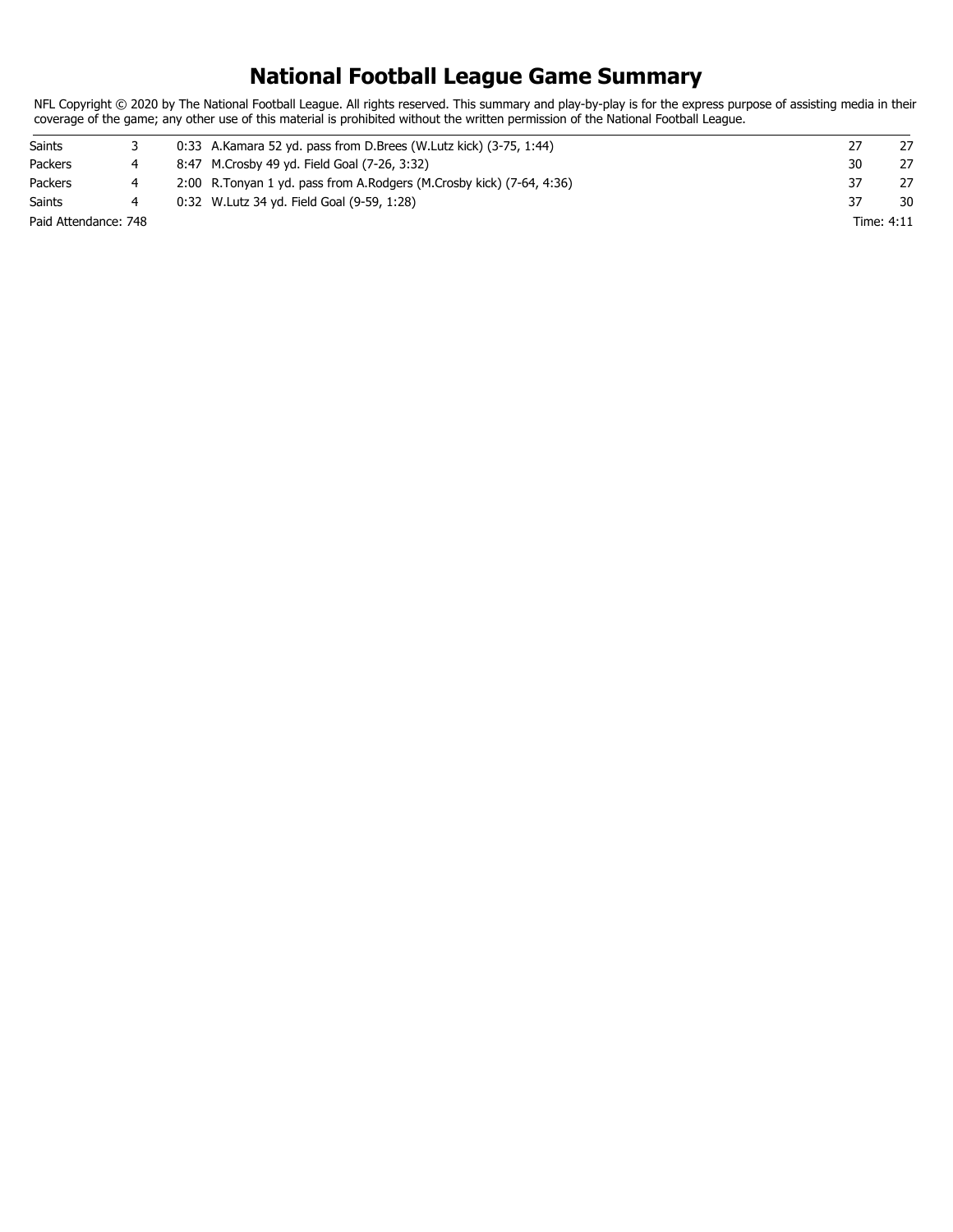# **National Football League Game Summary**

NFL Copyright © 2020 by The National Football League. All rights reserved. This summary and play-by-play is for the express purpose of assisting media in their coverage of the game; any other use of this material is prohibited without the written permission of the National Football League.

| Saints               |  | $0:33$ A.Kamara 52 yd. pass from D.Brees (W.Lutz kick) $(3-75, 1:44)$   |            | 27 |
|----------------------|--|-------------------------------------------------------------------------|------------|----|
| Packers              |  | 8:47 M.Crosby 49 yd. Field Goal (7-26, 3:32)                            | 30         | 27 |
| Packers              |  | 2:00 R. Tonyan 1 yd. pass from A. Rodgers (M. Crosby kick) (7-64, 4:36) |            | 27 |
| <b>Saints</b>        |  | 0:32 W. Lutz 34 yd. Field Goal (9-59, 1:28)                             |            | 30 |
| Paid Attendance: 748 |  |                                                                         | Time: 4:11 |    |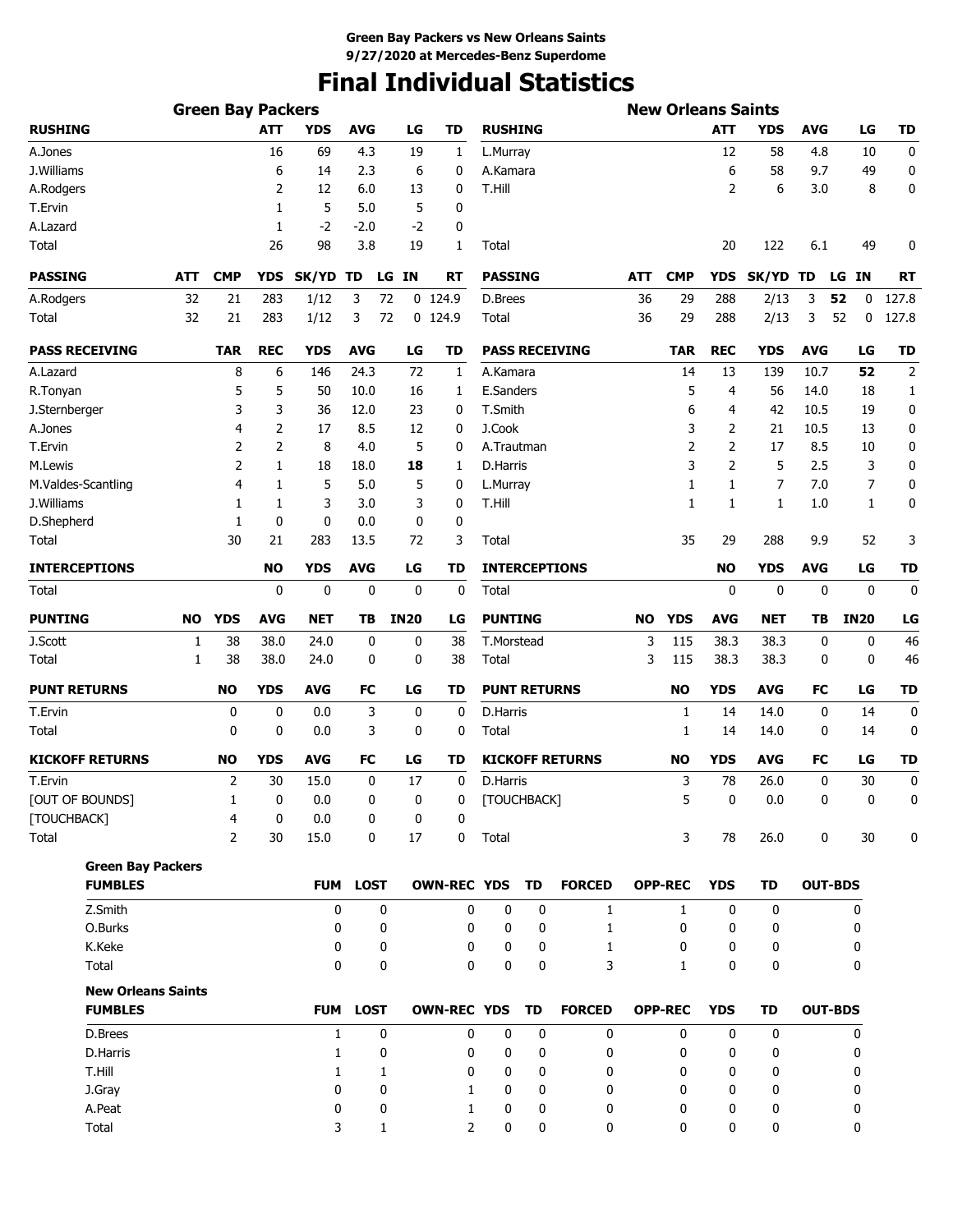# **Final Individual Statistics**

| <b>Green Bay Packers</b>                    |     |                |                         |              |             |                  |                    |                     |    |                        |           | <b>New Orleans Saints</b> |                  |            |                |             |                  |
|---------------------------------------------|-----|----------------|-------------------------|--------------|-------------|------------------|--------------------|---------------------|----|------------------------|-----------|---------------------------|------------------|------------|----------------|-------------|------------------|
| <b>RUSHING</b>                              |     |                | <b>ATT</b>              | <b>YDS</b>   | <b>AVG</b>  | LG               | TD                 | <b>RUSHING</b>      |    |                        |           |                           | <b>ATT</b>       | <b>YDS</b> | <b>AVG</b>     | LG          | <b>TD</b>        |
| A.Jones                                     |     |                | 16                      | 69           | 4.3         | 19               | 1                  | L.Murray            |    |                        |           |                           | 12               | 58         | 4.8            | 10          | 0                |
| J.Williams                                  |     |                | 6                       | 14           | 2.3         | 6                | 0                  | A.Kamara            |    |                        |           |                           | 6                | 58         | 9.7            | 49          | 0                |
| A.Rodgers                                   |     |                | 2                       | 12           | 6.0         | 13               | 0                  | T.Hill              |    |                        |           |                           | 2                | 6          | 3.0            | 8           | 0                |
| T.Ervin                                     |     |                | 1                       | 5            | 5.0         | 5                | 0                  |                     |    |                        |           |                           |                  |            |                |             |                  |
| A.Lazard                                    |     |                | 1                       | $-2$         | -2.0        | $-2$             | 0                  |                     |    |                        |           |                           |                  |            |                |             |                  |
| Total                                       |     |                | 26                      | 98           | 3.8         | 19               | 1                  | Total               |    |                        |           |                           | 20               | 122        | 6.1            | 49          | 0                |
| <b>PASSING</b>                              | ATT | <b>CMP</b>     | <b>YDS</b>              | SK/YD        | TD          | LG IN            | RT                 | <b>PASSING</b>      |    |                        | ATT       | <b>CMP</b>                | YDS              | SK/YD TD   |                | ΙN<br>LG    | RT               |
| A.Rodgers                                   | 32  | 21             | 283                     | 1/12         | 3<br>72     |                  | $0$ 124.9          | D.Brees             |    |                        | 36        | 29                        | 288              | 2/13       | 3              | 52<br>0     | 127.8            |
| Total                                       | 32  | 21             | 283                     | 1/12         | 3<br>72     |                  | 0 124.9            | Total               |    |                        | 36        | 29                        | 288              | 2/13       | 3              | 52<br>0     | 127.8            |
| <b>PASS RECEIVING</b>                       |     | <b>TAR</b>     | <b>REC</b>              | <b>YDS</b>   | <b>AVG</b>  | LG               | TD                 |                     |    | <b>PASS RECEIVING</b>  |           | <b>TAR</b>                | <b>REC</b>       | <b>YDS</b> | <b>AVG</b>     | LG          | <b>TD</b>        |
| A.Lazard                                    |     | 8              | 6                       | 146          | 24.3        | 72               | 1                  | A.Kamara            |    |                        |           | 14                        | 13               | 139        | 10.7           | 52          | $\overline{2}$   |
| R.Tonyan                                    |     | 5              | 5                       | 50           | 10.0        | 16               | 1                  | E.Sanders           |    |                        |           | 5                         | 4                | 56         | 14.0           | 18          | 1                |
| J.Sternberger                               |     | 3              | 3                       | 36           | 12.0        | 23               | 0                  | T.Smith             |    |                        |           | 6                         | 4                | 42         | 10.5           | 19          | 0                |
| A.Jones                                     |     | 4              | 2                       | 17           | 8.5         | 12               | 0                  | J.Cook              |    |                        |           | 3                         | 2                | 21         | 10.5           | 13          | 0                |
| T.Ervin                                     |     | 2              | $\overline{2}$          | 8            | 4.0         | 5                | 0                  | A.Trautman          |    |                        |           | $\overline{2}$            | $\overline{2}$   | 17         | 8.5            | 10          | 0                |
| M.Lewis                                     |     | 2              | 1                       | 18           | 18.0        | 18               | 1                  | D.Harris            |    |                        |           | 3                         | $\overline{2}$   | 5          | 2.5            | 3           | 0                |
| M.Valdes-Scantling                          |     | 4              | 1                       | 5            | 5.0         | 5                | 0                  | L.Murray            |    |                        |           | 1                         | 1                | 7          | 7.0            | 7           | 0                |
| J.Williams                                  |     | 1              | 1                       | 3            | 3.0         | 3                | 0                  | T.Hill              |    |                        |           | 1                         | 1                | 1          | 1.0            | 1           | 0                |
| D.Shepherd                                  |     | 1              | 0                       | 0            | 0.0         | 0                | 0                  |                     |    |                        |           |                           |                  |            |                |             |                  |
| Total                                       |     | 30             | 21                      | 283          | 13.5        | 72               | 3                  | Total               |    |                        |           | 35                        | 29               | 288        | 9.9            | 52          | 3                |
| <b>INTERCEPTIONS</b>                        |     |                | <b>NO</b>               | <b>YDS</b>   | <b>AVG</b>  | LG               | TD                 |                     |    | <b>INTERCEPTIONS</b>   |           |                           | <b>NO</b>        | <b>YDS</b> | <b>AVG</b>     | LG          | <b>TD</b>        |
| Total                                       |     |                | 0                       | 0            | 0           | 0                | 0                  | Total               |    |                        |           |                           | 0                | 0          | 0              | 0           | 0                |
| <b>PUNTING</b>                              | NO  | <b>YDS</b>     | AVG                     | <b>NET</b>   | TВ          | <b>IN20</b>      | LG                 | <b>PUNTING</b>      |    |                        | <b>NO</b> | <b>YDS</b>                | <b>AVG</b>       | NET        | ΤB             | <b>IN20</b> | LG               |
| J.Scott                                     | 1   | 38             | 38.0                    | 24.0         | 0           | 0                | 38                 | T.Morstead          |    |                        | 3         | 115                       | 38.3             | 38.3       | 0              | 0           | 46               |
| Total                                       | 1   | 38             | 38.0                    | 24.0         | 0           | 0                | 38                 | Total               |    |                        | 3         | 115                       | 38.3             | 38.3       | 0              | 0           | 46               |
| <b>PUNT RETURNS</b>                         |     | <b>NO</b>      | <b>YDS</b>              | <b>AVG</b>   | FC          | LG               | TD                 | <b>PUNT RETURNS</b> |    |                        |           | <b>NO</b>                 | <b>YDS</b>       | <b>AVG</b> | FC             | LG          | <b>TD</b>        |
| T.Ervin                                     |     | 0              | 0                       | 0.0          | 3           | 0                | $\mathbf 0$        | D.Harris            |    |                        |           | 1                         | 14               | 14.0       | 0              | 14          | $\mathbf 0$      |
| Total                                       |     | 0              | 0                       | 0.0          | 3           | 0                | 0                  | Total               |    |                        |           | 1                         | 14               | 14.0       | 0              | 14          | 0                |
| <b>KICKOFF RETURNS</b>                      |     | <b>NO</b>      | <b>YDS</b>              | <b>AVG</b>   | FC          | LG               | TD                 |                     |    | <b>KICKOFF RETURNS</b> |           | <b>NO</b>                 | <b>YDS</b>       | AVG        | FC             | LG          | <b>TD</b>        |
| T.Ervin                                     |     | 2              | 30                      | 15.0         | 0           | 17               | 0                  | D.Harris            |    |                        |           | 3                         | 78               | 26.0       | 0              | 30          | $\boldsymbol{0}$ |
| [OUT OF BOUNDS]                             |     | $\mathbf{1}$   | $\overline{\mathbf{0}}$ | 0.0          | 0           | $\boldsymbol{0}$ | 0                  | [TOUCHBACK]         |    |                        |           | 5                         | $\boldsymbol{0}$ | 0.0        | $\Omega$       | $\Omega$    | $\Omega$         |
| [TOUCHBACK]                                 |     | 4              | 0                       | 0.0          | 0           | 0                | 0                  |                     |    |                        |           |                           |                  |            |                |             |                  |
| Total                                       |     | $\overline{2}$ | 30                      | 15.0         | 0           | 17               | 0                  | Total               |    |                        |           | 3                         | 78               | 26.0       | 0              | 30          | 0                |
| <b>Green Bay Packers</b>                    |     |                |                         |              |             |                  |                    |                     |    |                        |           |                           |                  |            |                |             |                  |
| <b>FUMBLES</b>                              |     |                |                         | <b>FUM</b>   | <b>LOST</b> |                  | <b>OWN-REC YDS</b> |                     | TD | <b>FORCED</b>          |           | <b>OPP-REC</b>            | <b>YDS</b>       | TD         | <b>OUT-BDS</b> |             |                  |
| Z.Smith                                     |     |                |                         | 0            | 0           |                  | 0                  | 0                   | 0  | $\mathbf{1}$           |           | $\mathbf{1}$              | 0                | 0          |                | 0           |                  |
| O.Burks                                     |     |                |                         | 0            | 0           |                  | 0                  | 0                   | 0  | 1                      |           | 0                         | 0                | 0          |                | 0           |                  |
| K.Keke                                      |     |                |                         | 0            | 0           |                  | 0                  | 0                   | 0  | 1                      |           | 0                         | 0                | 0          |                | 0           |                  |
| Total                                       |     |                |                         | $\mathbf{0}$ | 0           |                  | 0                  | 0                   | 0  | 3                      |           | 1                         | 0                | 0          |                | 0           |                  |
| <b>New Orleans Saints</b><br><b>FUMBLES</b> |     |                |                         |              | FUM LOST    |                  | <b>OWN-REC YDS</b> |                     | TD | <b>FORCED</b>          |           | <b>OPP-REC</b>            | <b>YDS</b>       | TD         | <b>OUT-BDS</b> |             |                  |
| D.Brees                                     |     |                |                         | 1            | 0           |                  | 0                  | 0                   | 0  | 0                      |           | 0                         | 0                | 0          |                | 0           |                  |
| D.Harris                                    |     |                |                         | 1            | 0           |                  | 0                  | 0                   | 0  | 0                      |           | 0                         | 0                | 0          |                | 0           |                  |
| T.Hill                                      |     |                |                         | $\mathbf{1}$ | 1           |                  | 0                  | 0                   | 0  | 0                      |           | 0                         | 0                | 0          |                | 0           |                  |
| J.Gray                                      |     |                |                         | 0            | 0           |                  | 1                  | 0                   | 0  | 0                      |           | 0                         | 0                | 0          |                | 0           |                  |
| A.Peat                                      |     |                |                         | 0            | 0           |                  | 1                  | 0                   | 0  | 0                      |           | 0                         | 0                | 0          |                | 0           |                  |
| Total                                       |     |                |                         | 3            | 1           |                  | $\overline{2}$     | 0                   | 0  | 0                      |           | 0                         | 0                | 0          |                | 0           |                  |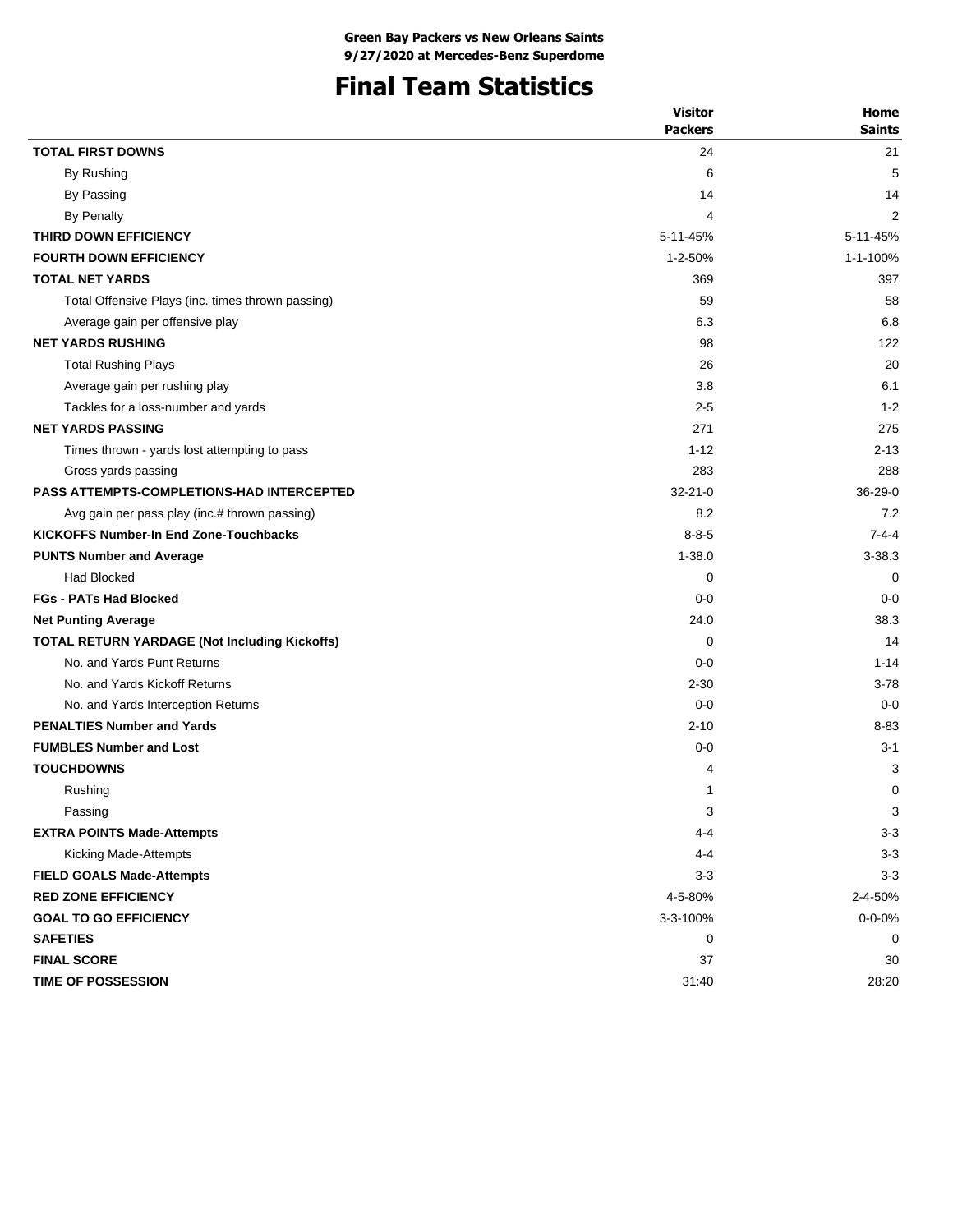# **Final Team Statistics**

|                                                      | <b>Visitor</b> | Home          |
|------------------------------------------------------|----------------|---------------|
|                                                      | <b>Packers</b> | <b>Saints</b> |
| <b>TOTAL FIRST DOWNS</b>                             | 24             | 21            |
| By Rushing                                           | 6              | 5             |
| By Passing                                           | 14             | 14            |
| <b>By Penalty</b>                                    | 4              | 2             |
| THIRD DOWN EFFICIENCY                                | 5-11-45%       | 5-11-45%      |
| <b>FOURTH DOWN EFFICIENCY</b>                        | $1 - 2 - 50%$  | 1-1-100%      |
| <b>TOTAL NET YARDS</b>                               | 369            | 397           |
| Total Offensive Plays (inc. times thrown passing)    | 59             | 58            |
| Average gain per offensive play                      | 6.3            | 6.8           |
| <b>NET YARDS RUSHING</b>                             | 98             | 122           |
| <b>Total Rushing Plays</b>                           | 26             | 20            |
| Average gain per rushing play                        | 3.8            | 6.1           |
| Tackles for a loss-number and yards                  | $2 - 5$        | $1 - 2$       |
| <b>NET YARDS PASSING</b>                             | 271            | 275           |
| Times thrown - yards lost attempting to pass         | $1 - 12$       | $2 - 13$      |
| Gross yards passing                                  | 283            | 288           |
| <b>PASS ATTEMPTS-COMPLETIONS-HAD INTERCEPTED</b>     | $32 - 21 - 0$  | $36-29-0$     |
| Avg gain per pass play (inc.# thrown passing)        | 8.2            | 7.2           |
| <b>KICKOFFS Number-In End Zone-Touchbacks</b>        | $8 - 8 - 5$    | $7 - 4 - 4$   |
| <b>PUNTS Number and Average</b>                      | $1 - 38.0$     | $3 - 38.3$    |
| <b>Had Blocked</b>                                   | 0              | 0             |
| <b>FGs - PATs Had Blocked</b>                        | $0 - 0$        | $0 - 0$       |
| <b>Net Punting Average</b>                           | 24.0           | 38.3          |
| <b>TOTAL RETURN YARDAGE (Not Including Kickoffs)</b> | 0              | 14            |
| No. and Yards Punt Returns                           | $0-0$          | $1 - 14$      |
| No. and Yards Kickoff Returns                        | $2 - 30$       | $3 - 78$      |
| No. and Yards Interception Returns                   | $0 - 0$        | $0 - 0$       |
| <b>PENALTIES Number and Yards</b>                    | $2 - 10$       | 8-83          |
| <b>FUMBLES Number and Lost</b>                       | $0 - 0$        | $3 - 1$       |
| <b>TOUCHDOWNS</b>                                    | 4              | 3             |
| Rushing                                              | 1              | 0             |
| Passing                                              | 3              | 3             |
| <b>EXTRA POINTS Made-Attempts</b>                    | $4 - 4$        | $3 - 3$       |
| Kicking Made-Attempts                                | 4-4            | $3 - 3$       |
| <b>FIELD GOALS Made-Attempts</b>                     | $3 - 3$        | $3 - 3$       |
| <b>RED ZONE EFFICIENCY</b>                           | 4-5-80%        | 2-4-50%       |
| <b>GOAL TO GO EFFICIENCY</b>                         | 3-3-100%       | $0 - 0 - 0\%$ |
| <b>SAFETIES</b>                                      | 0              | 0             |
| <b>FINAL SCORE</b>                                   | 37             | 30            |
| TIME OF POSSESSION                                   | 31:40          | 28:20         |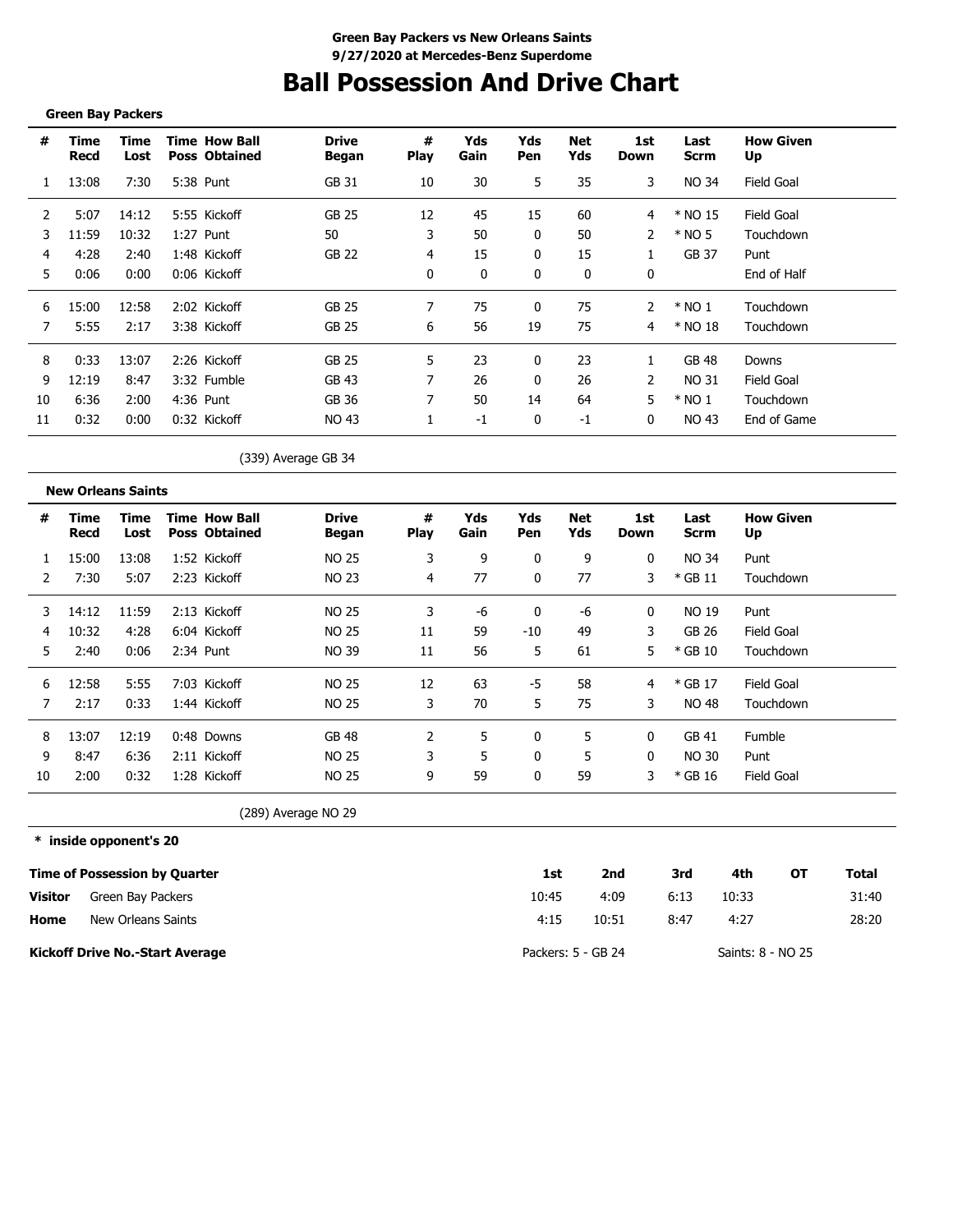# **Ball Possession And Drive Chart**

#### **Green Bay Packers**

| #  | Time<br>Recd | Time<br>Lost | <b>Time How Ball</b><br><b>Poss Obtained</b> | <b>Drive</b><br>Began | #<br><b>Play</b> | Yds<br>Gain | Yds<br>Pen | Net<br>Yds | 1st<br>Down | Last<br><b>Scrm</b> | <b>How Given</b><br>Up |
|----|--------------|--------------|----------------------------------------------|-----------------------|------------------|-------------|------------|------------|-------------|---------------------|------------------------|
|    | 13:08        | 7:30         | 5:38 Punt                                    | GB 31                 | 10               | 30          | 5          | 35         | 3           | <b>NO 34</b>        | <b>Field Goal</b>      |
| 2  | 5:07         | 14:12        | 5:55 Kickoff                                 | GB 25                 | 12               | 45          | 15         | 60         | 4           | * NO 15             | Field Goal             |
| 3  | 11:59        | 10:32        | 1:27 Punt                                    | 50                    | 3                | 50          | 0          | 50         |             | $*$ NO 5            | Touchdown              |
| 4  | 4:28         | 2:40         | 1:48 Kickoff                                 | <b>GB 22</b>          | 4                | 15          | 0          | 15         |             | GB 37               | Punt                   |
| 5  | 0:06         | 0:00         | 0:06 Kickoff                                 |                       | 0                | 0           | 0          | 0          | 0           |                     | End of Half            |
| 6  | 15:00        | 12:58        | 2:02 Kickoff                                 | GB 25                 | 7                | 75          | 0          | 75         | 2           | $*$ NO 1            | Touchdown              |
|    | 5:55         | 2:17         | 3:38 Kickoff                                 | GB 25                 | 6                | 56          | 19         | 75         | 4           | * NO 18             | Touchdown              |
| 8  | 0:33         | 13:07        | 2:26 Kickoff                                 | GB 25                 | 5                | 23          | 0          | 23         | 1           | GB 48               | Downs                  |
| 9  | 12:19        | 8:47         | 3:32 Fumble                                  | GB 43                 |                  | 26          | 0          | 26         | 2           | NO 31               | Field Goal             |
| 10 | 6:36         | 2:00         | 4:36 Punt                                    | GB 36                 |                  | 50          | 14         | 64         | 5           | $*$ NO 1            | Touchdown              |
| 11 | 0:32         | 0:00         | 0:32 Kickoff                                 | NO 43                 |                  | $-1$        | 0          | $-1$       | 0           | NO 43               | End of Game            |
|    |              |              |                                              | (339) Average GB 34   |                  |             |            |            |             |                     |                        |

| <b>New Orleans Saints</b> |  |
|---------------------------|--|
|---------------------------|--|

| #  | Time<br>Recd | Time<br>Lost |      | <b>Time How Ball</b><br><b>Poss Obtained</b> | <b>Drive</b><br>Began | #<br><b>Play</b> | Yds<br>Gain | Yds<br>Pen | Net<br>Yds | 1st<br>Down | Last<br>Scrm | <b>How Given</b><br>Up |
|----|--------------|--------------|------|----------------------------------------------|-----------------------|------------------|-------------|------------|------------|-------------|--------------|------------------------|
|    | 15:00        | 13:08        |      | 1:52 Kickoff                                 | <b>NO 25</b>          | 3                | 9           |            | 9          | 0           | NO 34        | Punt                   |
|    | 7:30         | 5:07         |      | 2:23 Kickoff                                 | <b>NO 23</b>          | 4                | 77          | 0          | 77         | 3           | $*$ GB 11    | Touchdown              |
| 3  | 14:12        | 11:59        |      | 2:13 Kickoff                                 | NO 25                 | 3                | -ი          |            | -6         | 0           | NO 19        | Punt                   |
| 4  | 10:32        | 4:28         |      | 6:04 Kickoff                                 | NO 25                 | 11               | 59          | $-10$      | 49         | 3           | GB 26        | <b>Field Goal</b>      |
| 5  | 2:40         | 0:06         |      | 2:34 Punt                                    | <b>NO 39</b>          | 11               | 56          | 5          | 61         | 5           | $*$ GB 10    | Touchdown              |
| 6  | 12:58        | 5:55         | 7:03 | Kickoff                                      | <b>NO 25</b>          | 12               | 63          | -5         | 58         | 4           | * GB 17      | Field Goal             |
|    | 2:17         | 0:33         |      | 1:44 Kickoff                                 | <b>NO 25</b>          | 3                | 70          | 5          | 75         | 3           | NO 48        | Touchdown              |
| 8  | 13:07        | 12:19        |      | $0:48$ Downs                                 | <b>GB 48</b>          |                  | 5           |            | 5          | 0           | GB 41        | Fumble                 |
| 9  | 8:47         | 6:36         |      | 2:11 Kickoff                                 | <b>NO 25</b>          | 3                | 5           |            | 5          | 0           | NO 30        | Punt                   |
| 10 | 2:00         | 0:32         |      | 1:28 Kickoff                                 | NO 25                 | 9                | 59          |            | 59         | 3           | * GB 16      | <b>Field Goal</b>      |

(289) Average NO 29

### **\* inside opponent's 20**

|                | Time of Possession by Quarter          | 1st                | 2nd   | 3rd  | 4th               | ΟТ | Total |
|----------------|----------------------------------------|--------------------|-------|------|-------------------|----|-------|
| <b>Visitor</b> | Green Bay Packers                      | 10:45              | 4:09  | 6:13 | 10:33             |    | 31:40 |
| Home           | New Orleans Saints                     | 4:15               | 10:51 | 8:47 | 4:27              |    | 28:20 |
|                | <b>Kickoff Drive No.-Start Average</b> | Packers: 5 - GB 24 |       |      | Saints: 8 - NO 25 |    |       |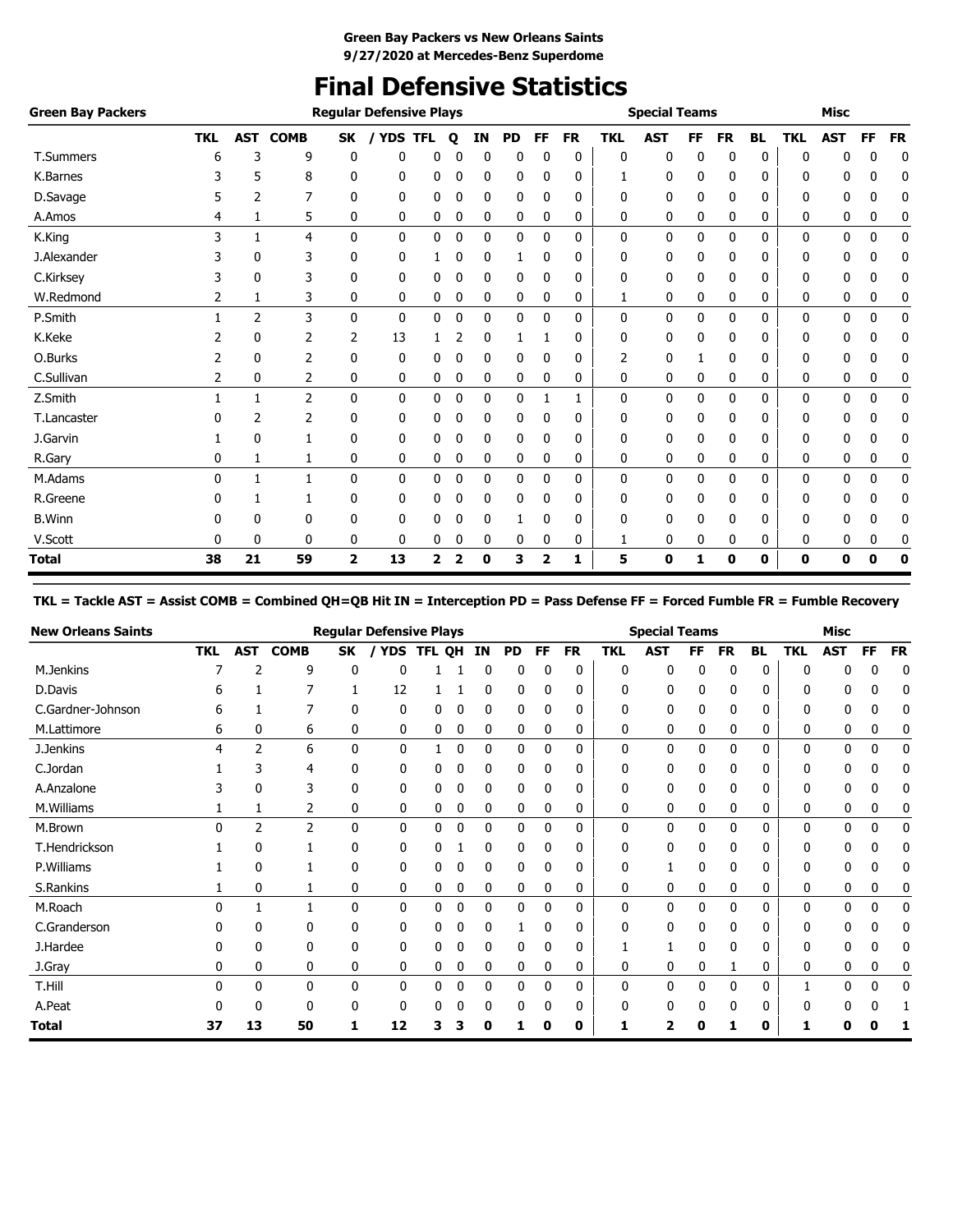# **Final Defensive Statistics**

| <b>Green Bay Packers</b> |            |    |                 |                | <b>Regular Defensive Plays</b> |            |              |          |    |              |           |            | <b>Special Teams</b> |           |           |           |              | <b>Misc</b> |             |           |
|--------------------------|------------|----|-----------------|----------------|--------------------------------|------------|--------------|----------|----|--------------|-----------|------------|----------------------|-----------|-----------|-----------|--------------|-------------|-------------|-----------|
|                          | <b>TKL</b> |    | <b>AST COMB</b> | <b>SK</b>      | / YDS                          | <b>TFL</b> | $\mathbf{o}$ | IN       | PD | FF           | <b>FR</b> | <b>TKL</b> | <b>AST</b>           | <b>FF</b> | <b>FR</b> | <b>BL</b> | <b>TKL</b>   | <b>AST</b>  | FF          | <b>FR</b> |
| T.Summers                | 6          | 3  | 9               | 0              | 0                              | 0          |              | $\Omega$ | 0  | 0            | 0         | 0          | 0                    | $\Omega$  | 0         | 0         | $\Omega$     | 0           | 0           | 0         |
| K.Barnes                 |            | 5  | 8               | 0              | 0                              | 0          | 0            | 0        | 0  | 0            | 0         |            | 0                    | 0         | 0         | 0         | 0            | 0           | 0           | 0         |
| D.Savage                 |            | 2  | 7               | 0              | 0                              | 0          | 0            | 0        | 0  | $\mathbf{0}$ | 0         | 0          | 0                    | 0         | 0         | 0         | 0            | 0           | 0           | 0         |
| A.Amos                   | 4          | 1  | 5               | 0              | 0                              | 0          | 0            | 0        | 0  | 0            | 0         | 0          | 0                    | 0         | 0         | 0         | 0            | 0           | 0           | 0         |
| K.King                   | 3          |    | $\overline{4}$  | $\mathbf{0}$   | 0                              | 0          | 0            | 0        | 0  | 0            | 0         | 0          | 0                    | 0         | 0         | 0         | 0            | 0           | 0           | 0         |
| J.Alexander              |            | 0  | 3               | 0              | 0                              | 1          | 0            | 0        | 1  | 0            | 0         | 0          | 0                    | 0         | 0         | 0         | 0            | 0           | 0           | 0         |
| C.Kirksey                |            | 0  | 3               | 0              | 0                              | 0          | 0            | 0        | 0  | 0            | 0         | 0          | 0                    | 0         | 0         | 0         | 0            | 0           | 0           | 0         |
| W.Redmond                | 2          | 1  | 3               | 0              | 0                              | 0          | 0            | 0        | 0  | 0            | 0         |            | 0                    | 0         | 0         | 0         | 0            | 0           | 0           | 0         |
| P.Smith                  |            | 2  | 3               | $\mathbf 0$    | $\mathbf{0}$                   | 0          | 0            | 0        | 0  | $\mathbf 0$  | 0         | 0          | 0                    | 0         | 0         | 0         | $\mathbf{0}$ | 0           | $\mathbf 0$ | 0         |
| K.Keke                   |            | 0  | 2               | 2              | 13                             |            |              | 0        |    |              | 0         | 0          | 0                    | 0         | 0         | 0         | 0            | 0           | 0           | 0         |
| O.Burks                  | 2          | 0  | 2               | 0              | 0                              | 0          | 0            | 0        | 0  | 0            | 0         | 2          | 0                    |           | 0         | 0         | 0            | 0           | 0           | 0         |
| C.Sullivan               | 2          | 0  | 2               | 0              | 0                              | 0          | 0            | 0        | 0  | 0            | 0         | 0          | 0                    | 0         | 0         | 0         | 0            | 0           | 0           | 0         |
| Z.Smith                  |            | 1  | $\overline{2}$  | 0              | 0                              | 0          | 0            | 0        | 0  | 1            | 1         | 0          | 0                    | 0         | 0         | 0         | 0            | 0           | 0           | 0         |
| T.Lancaster              |            | 2  | 2               | 0              | 0                              | 0          | 0            | 0        | 0  | 0            | 0         | 0          | 0                    | 0         | 0         | 0         | 0            | 0           | 0           | 0         |
| J.Garvin                 |            | 0  |                 | 0              | 0                              | 0          | 0            | 0        | 0  | 0            | 0         | 0          | 0                    | 0         | 0         | 0         | 0            | 0           | 0           | 0         |
| R.Gary                   | 0          | 1  | 1               | 0              | 0                              | 0          | 0            | 0        | 0  | 0            | 0         | 0          | 0                    | 0         | 0         | 0         | 0            | 0           | 0           | 0         |
| M.Adams                  | $\Omega$   | 1  | 1               | 0              | 0                              | 0          | 0            | 0        | 0  | $\mathbf 0$  | 0         | 0          | 0                    | 0         | 0         | 0         | 0            | 0           | $\mathbf 0$ | 0         |
| R.Greene                 | 0          |    |                 | 0              | 0                              | 0          | 0            | 0        | 0  | 0            | 0         | 0          | 0                    | 0         | 0         | 0         | 0            | 0           | 0           | 0         |
| <b>B.Winn</b>            |            | 0  | 0               | 0              | 0                              | 0          |              | 0        |    | 0            | 0         | 0          | 0                    | 0         | 0         | 0         | 0            | 0           | 0           | 0         |
| V.Scott                  | 0          | 0  | 0               | 0              | 0                              | 0          | 0            | 0        | 0  | 0            | 0         | 1          | 0                    | 0         | 0         | 0         | 0            | 0           | 0           | 0         |
| <b>Total</b>             | 38         | 21 | 59              | $\overline{2}$ | 13                             | 2          | 2            | 0        | 3  | 2            | 1         | 5          | 0                    |           | 0         | 0         | 0            | 0           | 0           | 0         |

### **TKL = Tackle AST = Assist COMB = Combined QH=QB Hit IN = Interception PD = Pass Defense FF = Forced Fumble FR = Fumble Recovery**

| <b>New Orleans Saints</b> |            |            |                |              | <b>Regular Defensive Plays</b> |        |   |    |    |    |           |     | <b>Special Teams</b> |     |              |           |     | <b>Misc</b>  |    |           |
|---------------------------|------------|------------|----------------|--------------|--------------------------------|--------|---|----|----|----|-----------|-----|----------------------|-----|--------------|-----------|-----|--------------|----|-----------|
|                           | <b>TKL</b> | <b>AST</b> | <b>COMB</b>    | SK           | <b>YDS</b>                     | TFL OH |   | ΙN | PD | FF | <b>FR</b> | TKL | <b>AST</b>           | FF. | <b>FR</b>    | <b>BL</b> | TKL | <b>AST</b>   | FF | <b>FR</b> |
| M.Jenkins                 |            |            | 9              | 0            | 0                              |        |   | 0  | 0  | 0  | 0         | 0   | 0                    | 0   | 0            | 0         |     |              | 0  | 0         |
| D.Davis                   | h          |            |                |              | 12                             |        |   |    | 0  | 0  | 0         | 0   | 0                    | 0   | 0            | 0         | n   |              |    | O         |
| C.Gardner-Johnson         | 6          |            |                | 0            | 0                              | 0      | 0 | 0  | 0  | 0  | 0         | 0   | 0                    | 0   | 0            | 0         | O   |              | Ü  | 0         |
| M.Lattimore               | 6          | 0          | 6              | 0            | 0                              | 0      | 0 | 0  | 0  | 0  | 0         | 0   | 0                    | 0   | 0            | 0         | 0   | 0            | 0  |           |
| J.Jenkins                 | 4          | 2          | 6              | $\mathbf{0}$ | 0                              |        | 0 | 0  | 0  | 0  | 0         | 0   | 0                    | 0   | $\mathbf{0}$ | 0         | 0   | 0            | 0  | 0         |
| C.Jordan                  |            | 3          | 4              | 0            | 0                              | 0      | 0 | 0  | 0  | 0  | 0         | 0   | 0                    | 0   | 0            | 0         | 0   | 0            | 0  | 0         |
| A.Anzalone                |            | 0          | 3              | 0            | 0                              | 0      | 0 | 0  | 0  | 0  | 0         | 0   | 0                    | 0   | 0            | 0         | 0   | 0            | 0  | 0         |
| M.Williams                |            |            | 2              | 0            | 0                              | 0      | 0 | 0  | 0  | 0  | 0         | 0   | 0                    | 0   | 0            | 0         | 0   | 0            | 0  |           |
| M.Brown                   | U          | 2          | $\overline{2}$ | $\mathbf{0}$ | 0                              | 0      | 0 | 0  | 0  | 0  | 0         | 0   | 0                    | 0   | 0            | 0         | 0   | 0            | 0  | 0         |
| T.Hendrickson             |            | 0          |                | 0            | 0                              | 0      |   | 0  | 0  | 0  | 0         | 0   | 0                    | 0   | 0            | 0         | 0   | 0            | 0  | 0         |
| P.Williams                |            | 0          |                | 0            | 0                              | 0      | 0 | 0  | 0  | 0  | 0         | 0   |                      | 0   | 0            | 0         | O   | 0            | 0  | 0         |
| S.Rankins                 |            | 0          |                | 0            | 0                              | 0      | 0 | 0  | 0  | 0  | 0         | 0   | 0                    | 0   | 0            | 0         | 0   | 0            | 0  |           |
| M.Roach                   | 0          |            |                | 0            | 0                              | 0      | 0 | 0  | 0  | 0  | 0         | 0   | 0                    | 0   | 0            | 0         | 0   | 0            | 0  | 0         |
| C.Granderson              |            | 0          | 0              | 0            | 0                              | 0      | 0 | 0  |    | 0  | 0         | 0   | 0                    | 0   | 0            | 0         | 0   | 0            | U  | 0         |
| J.Hardee                  | n          | 0          | 0              | 0            | 0                              | 0      | 0 | 0  | 0  | 0  | 0         |     |                      | 0   | 0            | 0         | n   | 0            | 0  | ſ         |
| J.Gray                    | 0          | 0          | 0              | 0            | 0                              | 0      | 0 | 0  | 0  | 0  | 0         | 0   | 0                    | 0   |              | 0         | 0   | 0            | 0  |           |
| T.Hill                    | U          | 0          | 0              | 0            | 0                              | 0      | 0 | 0  | 0  | 0  | 0         | 0   | 0                    | 0   | 0            | 0         |     | <sup>0</sup> | 0  | 0         |
| A.Peat                    | ŋ          | 0          | $\Omega$       | ŋ            | 0                              |        | 0 | 0  | 0  | 0  | 0         | 0   | 0                    | 0   | 0            | 0         |     |              |    |           |
| Total                     | 37         | 13         | 50             |              | 12                             | 3      | 3 | 0  |    | 0  | 0         |     |                      | п   |              | 0         |     |              |    |           |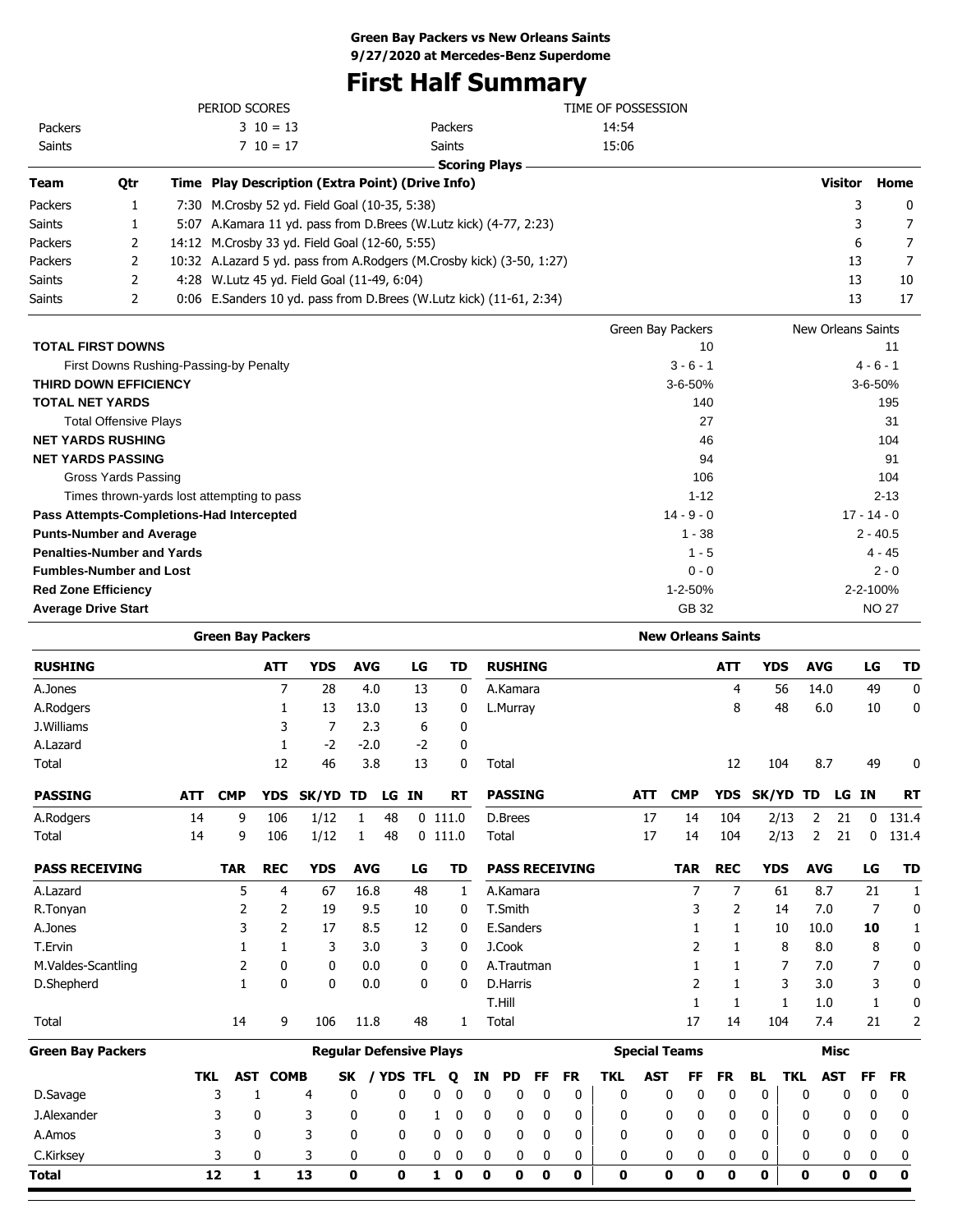# **First Half Summary**

|               |     | PERIOD SCORES                                    |                                                                       | TIME OF POSSESSION |                |              |
|---------------|-----|--------------------------------------------------|-----------------------------------------------------------------------|--------------------|----------------|--------------|
| Packers       |     | $3 \t10 = 13$                                    | Packers                                                               | 14:54              |                |              |
| Saints        |     | $7 \t10 = 17$                                    | Saints                                                                | 15:06              |                |              |
|               |     |                                                  | <b>Scoring Plays</b>                                                  |                    |                |              |
| <b>Team</b>   | Qtr | Time Play Description (Extra Point) (Drive Info) |                                                                       |                    | <b>Visitor</b> | Home         |
| Packers       |     | 7:30 M.Crosby 52 yd. Field Goal (10-35, 5:38)    |                                                                       |                    |                | $\mathbf{0}$ |
| <b>Saints</b> |     |                                                  | 5:07 A.Kamara 11 yd. pass from D.Brees (W.Lutz kick) (4-77, 2:23)     |                    | 3              | 7            |
| Packers       |     | 14:12 M.Crosby 33 yd. Field Goal (12-60, 5:55)   |                                                                       |                    | 6              | 7            |
| Packers       |     |                                                  | 10:32 A.Lazard 5 yd. pass from A.Rodgers (M.Crosby kick) (3-50, 1:27) |                    | 13             | 7            |
| <b>Saints</b> |     | 4:28 W. Lutz 45 yd. Field Goal (11-49, 6:04)     |                                                                       |                    | 13             | 10           |
| <b>Saints</b> |     |                                                  | 0:06 E.Sanders 10 yd. pass from D.Brees (W.Lutz kick) (11-61, 2:34)   |                    | 13             | 17           |
|               |     |                                                  |                                                                       |                    |                |              |

|                                            | Green Bay Packers | New Orleans Saints |
|--------------------------------------------|-------------------|--------------------|
| <b>TOTAL FIRST DOWNS</b>                   | 10                | 11                 |
| First Downs Rushing-Passing-by Penalty     | $3 - 6 - 1$       | $4 - 6 - 1$        |
| <b>THIRD DOWN EFFICIENCY</b>               | $3 - 6 - 50%$     | $3 - 6 - 50%$      |
| <b>TOTAL NET YARDS</b>                     | 140               | 195                |
| <b>Total Offensive Plays</b>               | 27                | 31                 |
| <b>NET YARDS RUSHING</b>                   | 46                | 104                |
| <b>NET YARDS PASSING</b>                   | 94                | 91                 |
| Gross Yards Passing                        | 106               | 104                |
| Times thrown-yards lost attempting to pass | $1 - 12$          | $2 - 13$           |
| Pass Attempts-Completions-Had Intercepted  | $14 - 9 - 0$      | $17 - 14 - 0$      |
| <b>Punts-Number and Average</b>            | $1 - 38$          | $2 - 40.5$         |
| <b>Penalties-Number and Yards</b>          | $1 - 5$           | $4 - 45$           |
| <b>Fumbles-Number and Lost</b>             | $0 - 0$           | $2 - 0$            |
| <b>Red Zone Efficiency</b>                 | $1 - 2 - 50%$     | 2-2-100%           |
| <b>Average Drive Start</b>                 | GB 32             | <b>NO 27</b>       |

|                          |            | <b>Green Bay Packers</b> |                |                                |              |    |             |           |             |             |                |           |                       |              |            | <b>New Orleans Saints</b> |             |             |            |            |             |              |             |
|--------------------------|------------|--------------------------|----------------|--------------------------------|--------------|----|-------------|-----------|-------------|-------------|----------------|-----------|-----------------------|--------------|------------|---------------------------|-------------|-------------|------------|------------|-------------|--------------|-------------|
| <b>RUSHING</b>           |            |                          | <b>ATT</b>     | <b>YDS</b>                     | <b>AVG</b>   |    | LG          |           | TD          |             | <b>RUSHING</b> |           |                       |              |            |                           | <b>ATT</b>  | <b>YDS</b>  |            | <b>AVG</b> |             | LG           | <b>TD</b>   |
| A.Jones                  |            |                          | $\overline{7}$ | 28                             | 4.0          |    | 13          |           | 0           |             | A.Kamara       |           |                       |              |            |                           | 4           |             | 56         | 14.0       |             | 49           | $\mathbf 0$ |
| A.Rodgers                |            |                          | 1              | 13                             | 13.0         |    | 13          |           | 0           |             | L.Murray       |           |                       |              |            |                           | 8           |             | 48         | 6.0        |             | 10           | 0           |
| J.Williams               |            |                          | 3              | 7                              | 2.3          |    | 6           |           | 0           |             |                |           |                       |              |            |                           |             |             |            |            |             |              |             |
| A.Lazard                 |            |                          | 1              | $-2$                           | $-2.0$       |    | $-2$        |           | 0           |             |                |           |                       |              |            |                           |             |             |            |            |             |              |             |
| Total                    |            |                          | 12             | 46                             | 3.8          |    | 13          |           | 0           |             | Total          |           |                       |              |            |                           | 12          |             | 104        | 8.7        |             | 49           | 0           |
| <b>PASSING</b>           | <b>ATT</b> | <b>CMP</b>               | <b>YDS</b>     | SK/YD TD                       |              | LG | <b>IN</b>   |           | RT          |             | <b>PASSING</b> |           |                       |              | <b>ATT</b> | <b>CMP</b>                | <b>YDS</b>  | SK/YD TD    |            |            | LG IN       |              | <b>RT</b>   |
| A.Rodgers                | 14         | 9                        | 106            | 1/12                           | 1            | 48 |             | $0$ 111.0 |             |             | D.Brees        |           |                       |              | 17         | 14                        | 104         |             | 2/13       | 2          | 21          | $\mathbf{0}$ | 131.4       |
| Total                    | 14         | 9                        | 106            | 1/12                           | 1            | 48 |             | $0$ 111.0 |             |             | Total          |           |                       |              | 17         | 14                        | 104         |             | 2/13       | 2          | 21          | $\Omega$     | 131.4       |
| <b>PASS RECEIVING</b>    |            | <b>TAR</b>               | <b>REC</b>     | <b>YDS</b>                     | <b>AVG</b>   |    | LG          |           | TD          |             |                |           | <b>PASS RECEIVING</b> |              |            | <b>TAR</b>                | <b>REC</b>  | <b>YDS</b>  |            | <b>AVG</b> |             | LG           | <b>TD</b>   |
| A.Lazard                 |            | 5                        | 4              | 67                             | 16.8         |    | 48          |           | 1           |             | A.Kamara       |           |                       |              |            | 7                         | 7           |             | 61         | 8.7        |             | 21           | 1           |
| R.Tonyan                 |            | 2                        | 2              | 19                             | 9.5          |    | 10          |           | 0           |             | T.Smith        |           |                       |              |            | 3                         | 2           |             | 14         | 7.0        |             | 7            | 0           |
| A.Jones                  |            | 3                        | 2              | 17                             | 8.5          |    | 12          |           | 0           |             | E.Sanders      |           |                       |              |            |                           | 1           |             | 10         | 10.0       |             | 10           | 1           |
| T.Ervin                  |            | 1                        | 1              | 3                              | 3.0          |    | 3           |           | 0           |             | J.Cook         |           |                       |              |            | 2                         | 1           |             | 8          | 8.0        |             | 8            | 0           |
| M.Valdes-Scantling       |            | 2                        | 0              | 0                              | 0.0          |    | 0           |           | 0           |             | A.Trautman     |           |                       |              |            |                           | 1           |             | 7          | 7.0        |             | 7            | 0           |
| D.Shepherd               |            | $\mathbf{1}$             | $\mathbf{0}$   | $\mathbf{0}$                   | 0.0          |    | 0           |           | 0           |             | D.Harris       |           |                       |              |            | 2                         | 1           |             | 3          | 3.0        |             | 3            | 0           |
|                          |            |                          |                |                                |              |    |             |           |             |             | T.Hill         |           |                       |              |            | $\mathbf{1}$              | 1           |             | 1          | 1.0        |             | 1            | 0           |
| Total                    |            | 14                       | 9              | 106                            | 11.8         |    | 48          |           | 1           |             | Total          |           |                       |              |            | 17                        | 14          |             | 104        | 7.4        |             | 21           | 2           |
| <b>Green Bay Packers</b> |            |                          |                | <b>Reqular Defensive Plays</b> |              |    |             |           |             |             |                |           |                       |              |            | <b>Special Teams</b>      |             |             |            |            | <b>Misc</b> |              |             |
|                          | <b>TKL</b> | <b>AST</b>               | <b>COMB</b>    |                                | <b>SK</b>    |    | / YDS TFL   | Q         |             | IN          | <b>PD</b>      | <b>FF</b> | <b>FR</b>             | <b>TKL</b>   | <b>AST</b> | FF                        | <b>FR</b>   | <b>BL</b>   | <b>TKL</b> |            | <b>AST</b>  | <b>FF</b>    | <b>FR</b>   |
| D.Savage                 |            | 3                        | 1              | 4                              | 0            |    | 0           | 0         | 0           | $\mathbf 0$ | 0              | 0         | 0                     | 0            |            | 0<br>0                    | $\mathbf 0$ | 0           |            | 0          | 0           | 0            | 0           |
| J.Alexander              |            | 3                        | 0              | 3                              | 0            |    | 0           | 1         | 0           | 0           | 0              | 0         | 0                     | 0            |            | 0<br>0                    | 0           | 0           |            | 0          | 0           | 0            | 0           |
| A.Amos                   |            | 3                        | $\mathbf{0}$   | 3                              | 0            |    | 0           | 0         | 0           | 0           | 0              | 0         | 0                     | $\mathbf{0}$ |            | $\mathbf{0}$<br>0         | 0           | 0           |            | 0          | 0           | 0            | 0           |
| C.Kirksey                |            | 3                        | 0              | 3                              | $\mathbf{0}$ |    | 0           | 0         | $\mathbf 0$ | 0           | 0              | 0         | 0                     | 0            |            | 0<br>0                    | 0           | 0           |            | 0          | 0           | 0            | 0           |
| Total                    |            | 12                       | 1              | 13                             | $\mathbf{0}$ |    | $\mathbf 0$ | 1         | 0           | $\mathbf 0$ | 0              | 0         | 0                     | $\mathbf{0}$ |            | $\mathbf{0}$<br>0         | 0           | $\mathbf 0$ |            | 0          | 0           | 0            | $\mathbf 0$ |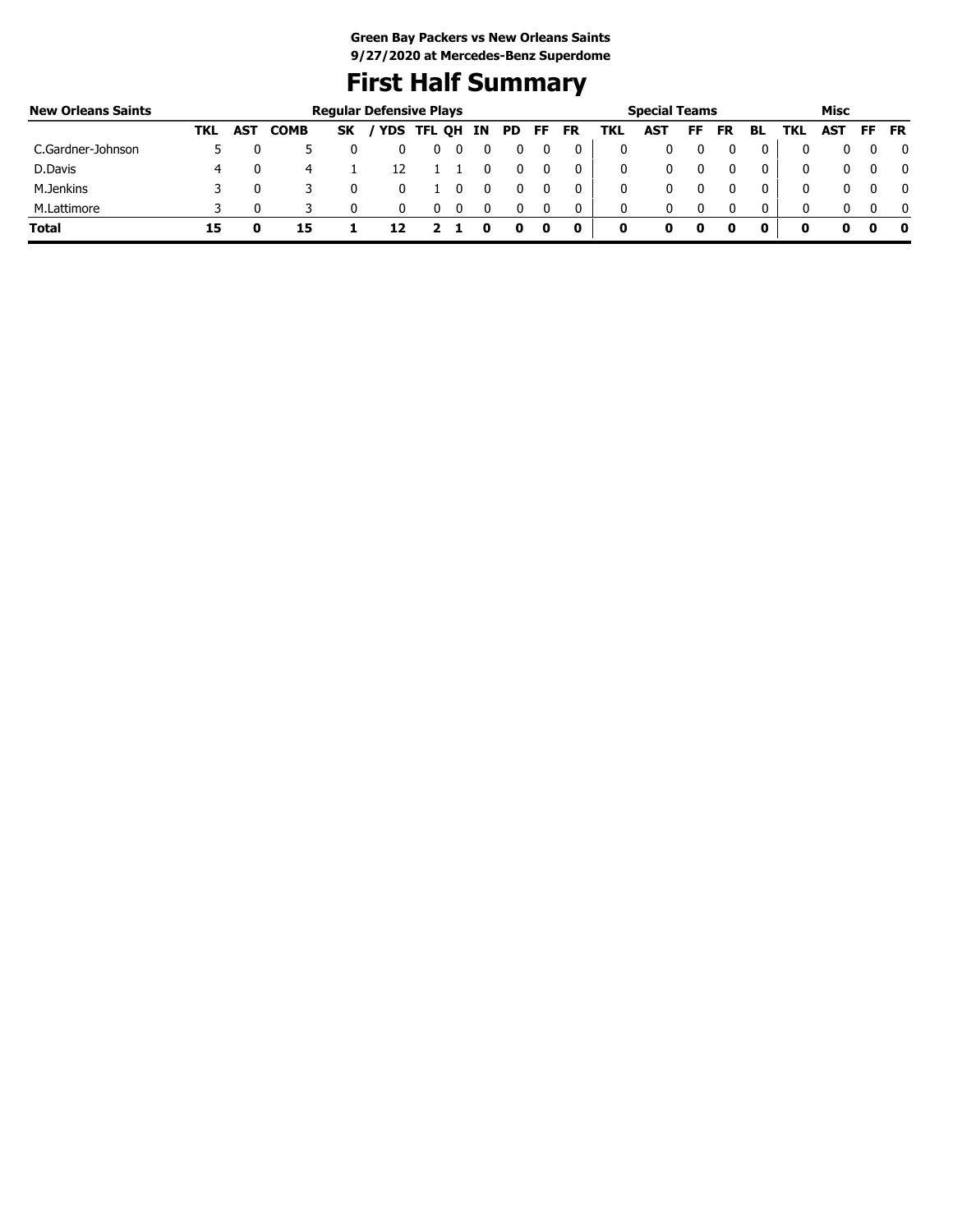# **First Half Summary**

| <b>New Orleans Saints</b> |     | <b>Regular Defensive Plays</b> |             |           |  |            |  |    |     | <b>Special Teams</b> |           |      |     |    | Misc      |    |     |            |     |           |
|---------------------------|-----|--------------------------------|-------------|-----------|--|------------|--|----|-----|----------------------|-----------|------|-----|----|-----------|----|-----|------------|-----|-----------|
|                           | TKL | <b>AST</b>                     | <b>COMB</b> | <b>SK</b> |  | YDS TFL QH |  | IN | PD. | FF                   | <b>FR</b> | TKL. | AST | FF | <b>FR</b> | BL | TKL | <b>AST</b> | FF. | <b>FR</b> |
| C.Gardner-Johnson         |     |                                |             |           |  | υ          |  | 0  |     |                      |           | 0    |     |    |           |    |     |            |     |           |
| D.Davis                   |     |                                | -4          |           |  |            |  |    |     | 0                    | 0         | 0    |     |    |           |    |     | 0          |     |           |
| M.Jenkins                 |     |                                |             |           |  |            |  |    |     |                      |           | 0    |     |    |           |    |     |            |     |           |
| M.Lattimore               |     |                                |             |           |  |            |  |    |     | $\mathbf{0}$         | 0         | 0    |     |    |           | 0  |     |            |     |           |
| <b>Total</b>              | 15  |                                | 15          |           |  |            |  |    | o   | o                    | 0         | 0    | o   |    | o         | o  | o   | 0          | o   |           |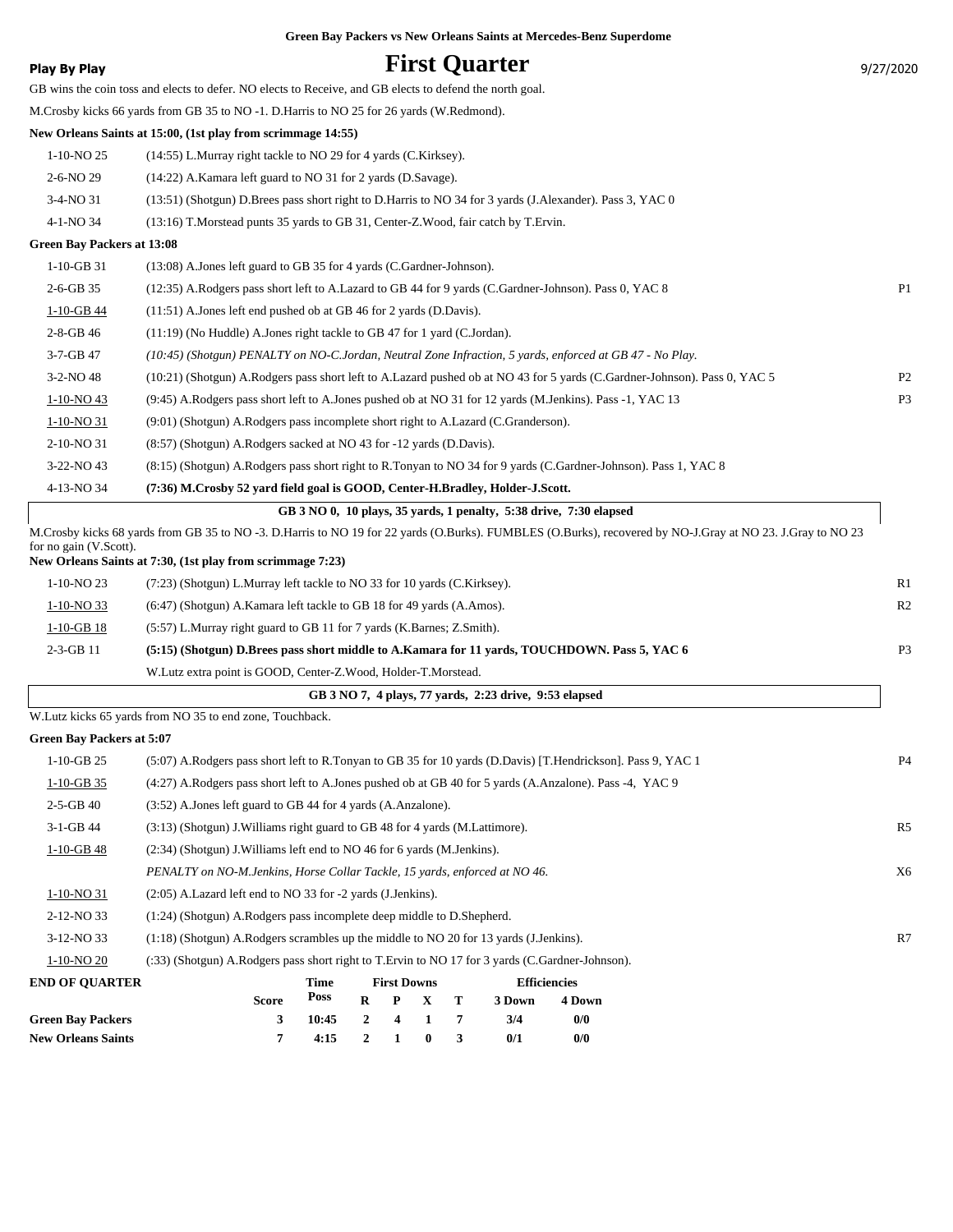|                                  | Green Bay Packers vs New Orleans Saints at Mercedes-Benz Superdome                                                                                         |                |
|----------------------------------|------------------------------------------------------------------------------------------------------------------------------------------------------------|----------------|
| <b>Play By Play</b>              | <b>First Quarter</b>                                                                                                                                       | 9/27/2020      |
|                                  | GB wins the coin toss and elects to defer. NO elects to Receive, and GB elects to defend the north goal.                                                   |                |
|                                  | M.Crosby kicks 66 yards from GB 35 to NO -1. D.Harris to NO 25 for 26 yards (W.Redmond).                                                                   |                |
|                                  | New Orleans Saints at 15:00, (1st play from scrimmage 14:55)                                                                                               |                |
| 1-10-NO 25                       | (14:55) L.Murray right tackle to NO 29 for 4 yards (C.Kirksey).                                                                                            |                |
| 2-6-NO 29                        | (14:22) A.Kamara left guard to NO 31 for 2 yards (D.Savage).                                                                                               |                |
| 3-4-NO 31                        | (13:51) (Shotgun) D.Brees pass short right to D.Harris to NO 34 for 3 yards (J.Alexander). Pass 3, YAC 0                                                   |                |
| 4-1-NO 34                        | (13:16) T.Morstead punts 35 yards to GB 31, Center-Z.Wood, fair catch by T.Ervin.                                                                          |                |
| Green Bay Packers at 13:08       |                                                                                                                                                            |                |
| $1-10-GB$ 31                     | (13:08) A.Jones left guard to GB 35 for 4 yards (C.Gardner-Johnson).                                                                                       |                |
| $2-6-GB$ 35                      | (12:35) A.Rodgers pass short left to A.Lazard to GB 44 for 9 yards (C.Gardner-Johnson). Pass 0, YAC 8                                                      | P <sub>1</sub> |
| 1-10-GB 44                       | $(11:51)$ A.Jones left end pushed ob at GB 46 for 2 yards (D.Davis).                                                                                       |                |
| $2 - 8 - GB$ 46                  | (11:19) (No Huddle) A. Jones right tackle to GB 47 for 1 yard (C. Jordan).                                                                                 |                |
| $3 - 7 - GB$ 47                  | (10:45) (Shotgun) PENALTY on NO-C.Jordan, Neutral Zone Infraction, 5 yards, enforced at GB 47 - No Play.                                                   |                |
| 3-2-NO 48                        | (10:21) (Shotgun) A.Rodgers pass short left to A.Lazard pushed ob at NO 43 for 5 yards (C.Gardner-Johnson). Pass 0, YAC 5                                  | P <sub>2</sub> |
| 1-10-NO 43                       | (9:45) A.Rodgers pass short left to A.Jones pushed ob at NO 31 for 12 yards (M.Jenkins). Pass -1, YAC 13                                                   | P <sub>3</sub> |
| 1-10-NO 31                       | (9:01) (Shotgun) A.Rodgers pass incomplete short right to A.Lazard (C.Granderson).                                                                         |                |
| 2-10-NO 31                       | (8:57) (Shotgun) A.Rodgers sacked at NO 43 for -12 yards (D.Davis).                                                                                        |                |
| 3-22-NO 43                       | (8:15) (Shotgun) A.Rodgers pass short right to R.Tonyan to NO 34 for 9 yards (C.Gardner-Johnson). Pass 1, YAC 8                                            |                |
| 4-13-NO 34                       | (7:36) M.Crosby 52 yard field goal is GOOD, Center-H.Bradley, Holder-J.Scott.                                                                              |                |
|                                  | GB 3 NO 0, 10 plays, 35 yards, 1 penalty, 5:38 drive, 7:30 elapsed                                                                                         |                |
| for no gain (V.Scott).           | M.Crosby kicks 68 yards from GB 35 to NO -3. D.Harris to NO 19 for 22 yards (O.Burks). FUMBLES (O.Burks), recovered by NO-J.Gray at NO 23. J.Gray to NO 23 |                |
|                                  | New Orleans Saints at 7:30, (1st play from scrimmage 7:23)                                                                                                 |                |
| 1-10-NO 23                       | (7:23) (Shotgun) L.Murray left tackle to NO 33 for 10 yards (C.Kirksey).                                                                                   | R1             |
| $1-10-NO$ 33                     | (6:47) (Shotgun) A.Kamara left tackle to GB 18 for 49 yards (A.Amos).                                                                                      | R <sub>2</sub> |
| $1-10-GB$ 18                     | (5:57) L.Murray right guard to GB 11 for 7 yards (K.Barnes; Z.Smith).                                                                                      |                |
| 2-3-GB 11                        | (5:15) (Shotgun) D.Brees pass short middle to A.Kamara for 11 yards, TOUCHDOWN. Pass 5, YAC 6                                                              | P <sub>3</sub> |
|                                  | W.Lutz extra point is GOOD, Center-Z.Wood, Holder-T.Morstead.                                                                                              |                |
|                                  | GB 3 NO 7, 4 plays, 77 yards, 2:23 drive, 9:53 elapsed                                                                                                     |                |
|                                  | W.Lutz kicks 65 yards from NO 35 to end zone, Touchback.                                                                                                   |                |
| <b>Green Bay Packers at 5:07</b> |                                                                                                                                                            |                |
| $1-10-GB$ 25                     | (5:07) A.Rodgers pass short left to R.Tonyan to GB 35 for 10 yards (D.Davis) [T.Hendrickson]. Pass 9, YAC 1                                                | P <sub>4</sub> |
| $1-10-GB$ 35                     | (4:27) A.Rodgers pass short left to A.Jones pushed ob at GB 40 for 5 yards (A.Anzalone). Pass -4, YAC 9                                                    |                |
| $2 - 5 - GB$ 40                  | (3:52) A. Jones left guard to GB 44 for 4 yards (A. Anzalone).                                                                                             |                |
| 3-1-GB 44                        | (3:13) (Shotgun) J. Williams right guard to GB 48 for 4 yards (M. Lattimore).                                                                              | R <sub>5</sub> |
| $1-10-GB$ 48                     | (2:34) (Shotgun) J. Williams left end to NO 46 for 6 yards (M. Jenkins).                                                                                   |                |
|                                  | PENALTY on NO-M.Jenkins, Horse Collar Tackle, 15 yards, enforced at NO 46.                                                                                 | X6             |
| $1-10-NO$ 31                     | (2:05) A.Lazard left end to NO 33 for -2 yards (J.Jenkins).                                                                                                |                |

2-12-NO 33 (1:24) (Shotgun) A.Rodgers pass incomplete deep middle to D.Shepherd. 3-12-NO 33 (1:18) (Shotgun) A.Rodgers scrambles up the middle to NO 20 for 13 yards (J.Jenkins). R7

1-10-NO 20 (:33) (Shotgun) A.Rodgers pass short right to T.Ervin to NO 17 for 3 yards (C.Gardner-Johnson).

| <b>END OF OUARTER</b>     |              | Time            | <b>First Downs</b> |                 | <b>Efficiencies</b> |        |  |
|---------------------------|--------------|-----------------|--------------------|-----------------|---------------------|--------|--|
|                           | <b>Score</b> | Poss            |                    | $R$ $P$ $X$ $T$ | 3 Down              | 4 Down |  |
| <b>Green Bay Packers</b>  | 3            | $10:45$ 2 4 1 7 |                    |                 | 3/4                 | 0/0    |  |
| <b>New Orleans Saints</b> |              | $4:15$ 2 1 0 3  |                    |                 | 0/1                 | 0/0    |  |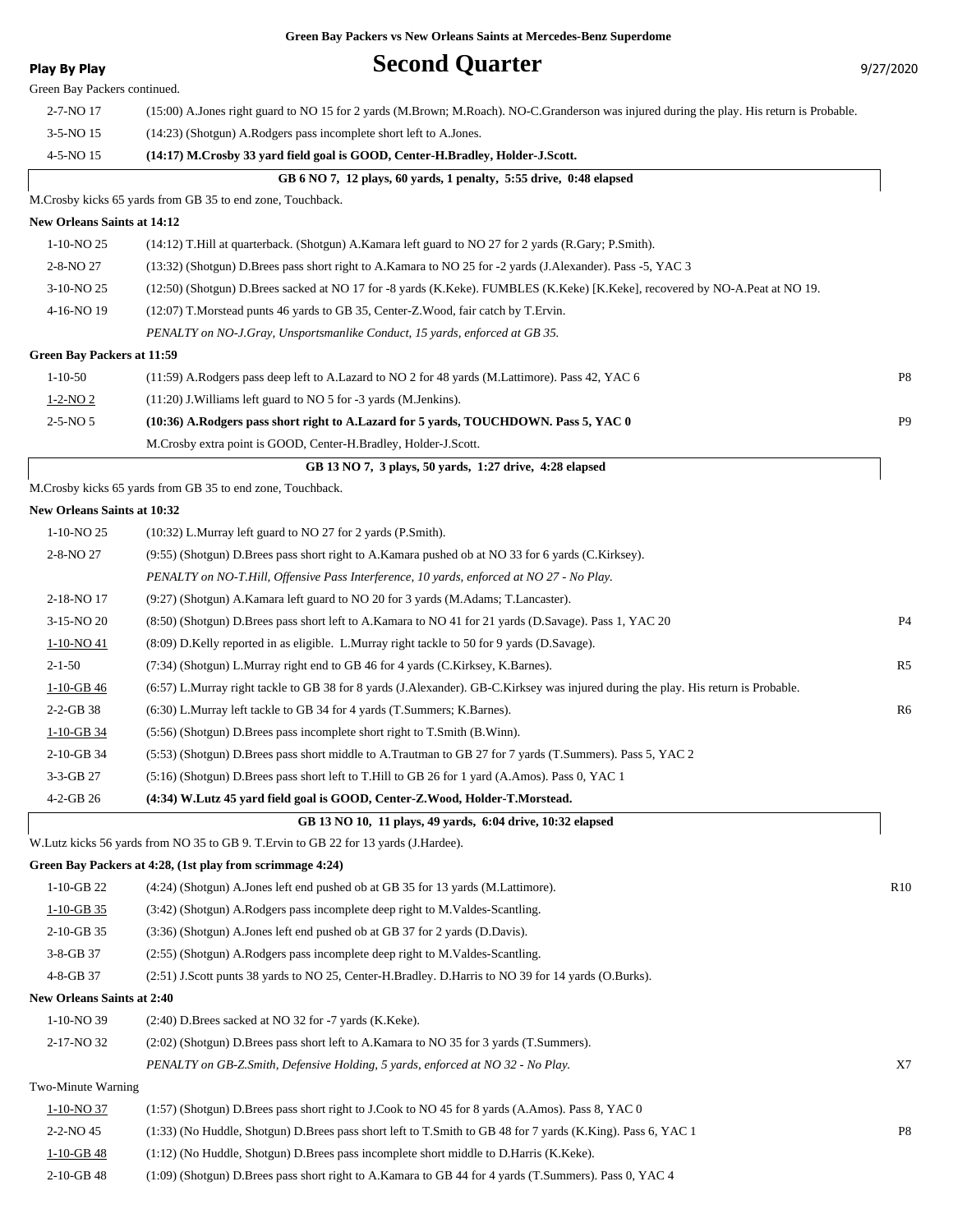| <b>Play By Play</b>               | <b>Second Quarter</b>                                                                                                                     | 9/27/2020      |
|-----------------------------------|-------------------------------------------------------------------------------------------------------------------------------------------|----------------|
| Green Bay Packers continued.      |                                                                                                                                           |                |
| 2-7-NO 17                         | (15:00) A Jones right guard to NO 15 for 2 yards (M.Brown; M.Roach). NO-C.Granderson was injured during the play. His return is Probable. |                |
| $3-5-NO$ 15                       | (14:23) (Shotgun) A.Rodgers pass incomplete short left to A.Jones.                                                                        |                |
| 4-5-NO 15                         | (14:17) M.Crosby 33 yard field goal is GOOD, Center-H.Bradley, Holder-J.Scott.                                                            |                |
|                                   | GB 6 NO 7, 12 plays, 60 yards, 1 penalty, 5:55 drive, 0:48 elapsed                                                                        |                |
|                                   | M.Crosby kicks 65 yards from GB 35 to end zone, Touchback.                                                                                |                |
| New Orleans Saints at 14:12       |                                                                                                                                           |                |
| $1-10-NO$ 25                      | (14:12) T.Hill at quarterback. (Shotgun) A.Kamara left guard to NO 27 for 2 yards (R.Gary; P.Smith).                                      |                |
| 2-8-NO 27                         | (13:32) (Shotgun) D.Brees pass short right to A.Kamara to NO 25 for -2 yards (J.Alexander). Pass -5, YAC 3                                |                |
| 3-10-NO 25                        | (12:50) (Shotgun) D.Brees sacked at NO 17 for -8 yards (K.Keke). FUMBLES (K.Keke) [K.Keke], recovered by NO-A.Peat at NO 19.              |                |
| 4-16-NO 19                        | (12:07) T. Morstead punts 46 yards to GB 35, Center-Z. Wood, fair catch by T. Ervin.                                                      |                |
|                                   | PENALTY on NO-J.Gray, Unsportsmanlike Conduct, 15 yards, enforced at GB 35.                                                               |                |
| <b>Green Bay Packers at 11:59</b> |                                                                                                                                           |                |
| $1 - 10 - 50$                     | (11:59) A.Rodgers pass deep left to A.Lazard to NO 2 for 48 yards (M.Lattimore). Pass 42, YAC 6                                           | P8             |
| $1 - 2 - NO_2$                    | $(11:20)$ J. Williams left guard to NO 5 for -3 yards (M. Jenkins).                                                                       |                |
| $2 - 5 - NO_5$                    | (10:36) A.Rodgers pass short right to A.Lazard for 5 yards, TOUCHDOWN. Pass 5, YAC 0                                                      | P <sub>9</sub> |
|                                   | M. Crosby extra point is GOOD, Center-H. Bradley, Holder-J. Scott.                                                                        |                |
|                                   | GB 13 NO 7, 3 plays, 50 yards, 1:27 drive, 4:28 elapsed                                                                                   |                |
|                                   | M.Crosby kicks 65 yards from GB 35 to end zone, Touchback.                                                                                |                |
| New Orleans Saints at 10:32       |                                                                                                                                           |                |
| $1-10-NO$ 25                      | (10:32) L.Murray left guard to NO 27 for 2 yards (P.Smith).                                                                               |                |
| 2-8-NO 27                         | (9.55) (Shotgun) D.Brees pass short right to A.Kamara pushed ob at NO 33 for 6 yards (C.Kirksey).                                         |                |
|                                   | PENALTY on NO-T.Hill, Offensive Pass Interference, 10 yards, enforced at NO 27 - No Play.                                                 |                |
| 2-18-NO 17                        | (9:27) (Shotgun) A.Kamara left guard to NO 20 for 3 yards (M.Adams; T.Lancaster).                                                         |                |
| 3-15-NO 20                        | (8:50) (Shotgun) D.Brees pass short left to A.Kamara to NO 41 for 21 yards (D.Savage). Pass 1, YAC 20                                     | P4             |
| 1-10-NO 41                        | (8.09) D.Kelly reported in as eligible. L.Murray right tackle to 50 for 9 yards (D.Savage).                                               |                |
| $2 - 1 - 50$                      | (7:34) (Shotgun) L.Murray right end to GB 46 for 4 yards (C.Kirksey, K.Barnes).                                                           | R <sub>5</sub> |
| $1-10-GB$ 46                      | (6:57) L.Murray right tackle to GB 38 for 8 yards (J.Alexander). GB-C.Kirksey was injured during the play. His return is Probable.        |                |
| $2 - 2 - GB$ 38                   | (6:30) L.Murray left tackle to GB 34 for 4 yards (T.Summers; K.Barnes).                                                                   | R6             |
| $1 - 10 - GB$ 34                  | (5:56) (Shotgun) D.Brees pass incomplete short right to T.Smith (B.Winn).                                                                 |                |
| 2-10-GB 34                        | (5:53) (Shotgun) D.Brees pass short middle to A.Trautman to GB 27 for 7 yards (T.Summers). Pass 5, YAC 2                                  |                |
| 3-3-GB 27                         | (5:16) (Shotgun) D.Brees pass short left to T.Hill to GB 26 for 1 yard (A.Amos). Pass 0, YAC 1                                            |                |
| 4-2-GB 26                         | (4:34) W.Lutz 45 yard field goal is GOOD, Center-Z.Wood, Holder-T.Morstead.                                                               |                |
|                                   | GB 13 NO 10, 11 plays, 49 yards, 6:04 drive, 10:32 elapsed                                                                                |                |
|                                   | W. Lutz kicks 56 yards from NO 35 to GB 9. T. Ervin to GB 22 for 13 yards (J. Hardee).                                                    |                |
|                                   | Green Bay Packers at 4:28, (1st play from scrimmage 4:24)                                                                                 |                |
| $1-10-GB$ 22                      | (4:24) (Shotgun) A.Jones left end pushed ob at GB 35 for 13 yards (M.Lattimore).                                                          | R10            |
| $1-10-GB$ 35                      | (3:42) (Shotgun) A.Rodgers pass incomplete deep right to M.Valdes-Scantling.                                                              |                |
| 2-10-GB 35                        | (3:36) (Shotgun) A.Jones left end pushed ob at GB 37 for 2 yards (D.Davis).                                                               |                |
| 3-8-GB 37                         | (2.55) (Shotgun) A.Rodgers pass incomplete deep right to M.Valdes-Scantling.                                                              |                |
| 4-8-GB 37                         | (2.51) J.Scott punts 38 yards to NO 25, Center-H.Bradley. D.Harris to NO 39 for 14 yards (O.Burks).                                       |                |
| New Orleans Saints at 2:40        |                                                                                                                                           |                |
| 1-10-NO 39                        | $(2:40)$ D.Brees sacked at NO 32 for -7 yards $(K.Keke)$ .                                                                                |                |
| 2-17-NO 32                        | (2.02) (Shotgun) D.Brees pass short left to A.Kamara to NO 35 for 3 yards (T.Summers).                                                    |                |
|                                   | PENALTY on GB-Z.Smith, Defensive Holding, 5 yards, enforced at NO 32 - No Play.                                                           | X7             |
| Two-Minute Warning                |                                                                                                                                           |                |
| $1-10-NO$ 37                      | (1:57) (Shotgun) D.Brees pass short right to J.Cook to NO 45 for 8 yards (A.Amos). Pass 8, YAC 0                                          |                |
| 2-2-NO 45                         | (1:33) (No Huddle, Shotgun) D.Brees pass short left to T.Smith to GB 48 for 7 yards (K.King). Pass 6, YAC 1                               | P8             |
| $1-10-GB$ 48                      | $(1:12)$ (No Huddle, Shotgun) D. Brees pass incomplete short middle to D. Harris (K. Keke).                                               |                |
| 2-10-GB 48                        | (1:09) (Shotgun) D.Brees pass short right to A.Kamara to GB 44 for 4 yards (T.Summers). Pass 0, YAC 4                                     |                |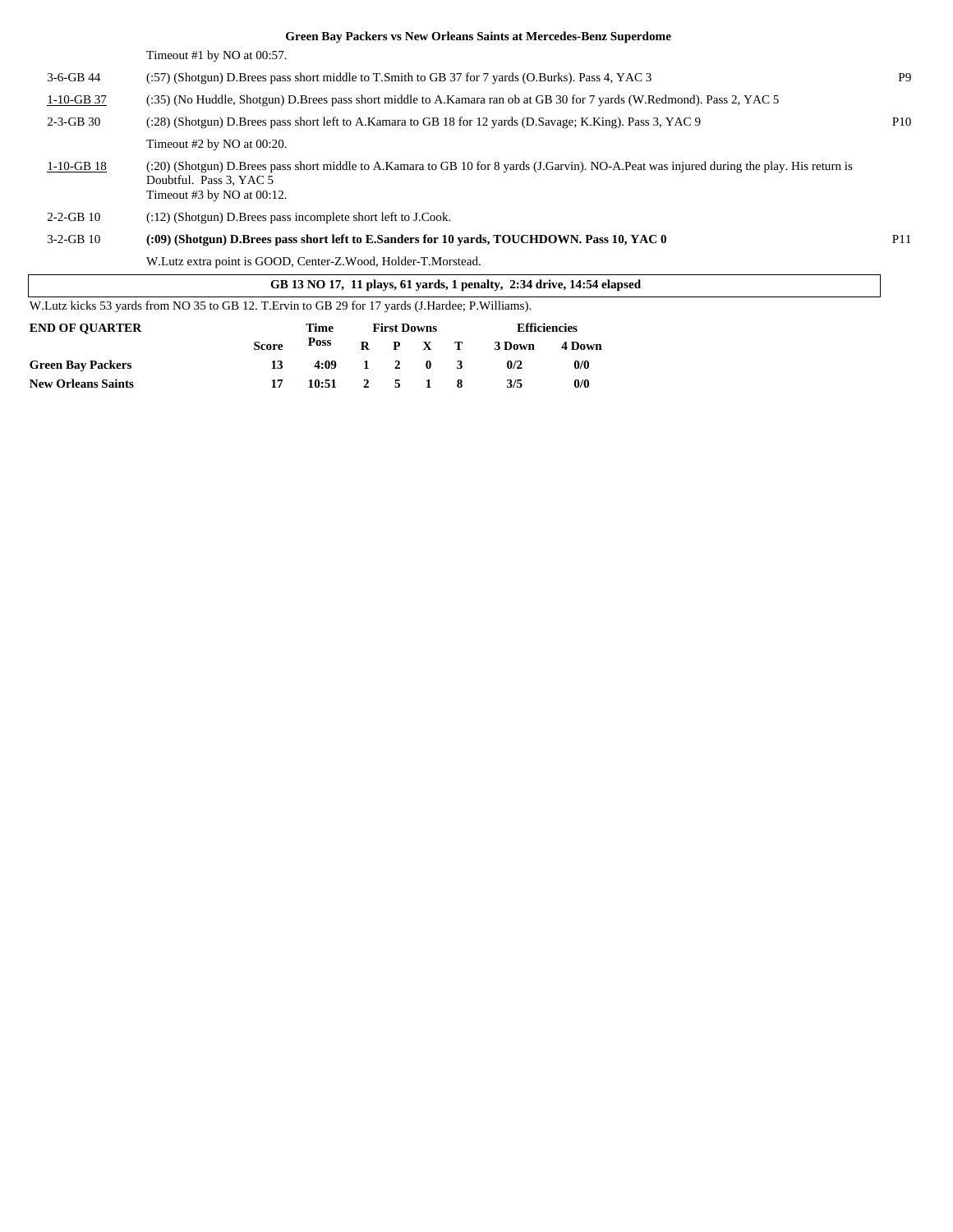|                       | Green Bay Packers vs New Orleans Saints at Mercedes-Benz Superdome                                                                                                                                        |                 |
|-----------------------|-----------------------------------------------------------------------------------------------------------------------------------------------------------------------------------------------------------|-----------------|
|                       | Timeout #1 by $NO$ at $00:57$ .                                                                                                                                                                           |                 |
| $3-6-GB$ 44           | (:57) (Shotgun) D.Brees pass short middle to T.Smith to GB 37 for 7 yards (O.Burks). Pass 4, YAC 3                                                                                                        | P <sub>9</sub>  |
| $1-10-GB$ 37          | (:35) (No Huddle, Shotgun) D.Brees pass short middle to A.Kamara ran ob at GB 30 for 7 yards (W.Redmond). Pass 2, YAC 5                                                                                   |                 |
| $2-3-GB30$            | (:28) (Shotgun) D.Brees pass short left to A.Kamara to GB 18 for 12 yards (D.Savage; K.King). Pass 3, YAC 9                                                                                               | P10             |
|                       | Timeout $#2$ by NO at 00:20.                                                                                                                                                                              |                 |
| $1-10-GB$ 18          | (:20) (Shotgun) D.Brees pass short middle to A.Kamara to GB 10 for 8 yards (J.Garvin). NO-A.Peat was injured during the play. His return is<br>Doubtful. Pass 3, YAC 5<br>Timeout $#3$ by NO at $00:12$ . |                 |
| $2 - 2 - GB$ 10       | $(12)$ (Shotgun) D. Brees pass incomplete short left to J. Cook.                                                                                                                                          |                 |
| $3-2-GB$ 10           | (:09) (Shotgun) D.Brees pass short left to E.Sanders for 10 yards, TOUCHDOWN. Pass 10, YAC 0                                                                                                              | P <sub>11</sub> |
|                       | W. Lutz extra point is GOOD, Center-Z. Wood, Holder-T. Morstead.                                                                                                                                          |                 |
|                       | GB 13 NO 17, 11 plays, 61 yards, 1 penalty, 2:34 drive, 14:54 elapsed                                                                                                                                     |                 |
|                       | W.Lutz kicks 53 yards from NO 35 to GB 12. T.Ervin to GB 29 for 17 yards (J.Hardee; P.Williams).                                                                                                          |                 |
| <b>END OF OUARTER</b> | <b>Efficiencies</b><br><b>First Downs</b><br>Time                                                                                                                                                         |                 |

| END OF QUARTER            |              | 1 ime |   | FIFSL DOWNS         |       | <b>EINCIPROIES</b> |        |  |
|---------------------------|--------------|-------|---|---------------------|-------|--------------------|--------|--|
|                           | <b>Score</b> | Poss  | R |                     | P X T | 3 Down             | 4 Down |  |
| <b>Green Bay Packers</b>  | 13           | 4:09  |   | $1 \quad 2 \quad 0$ |       | 0/2                | 0/0    |  |
| <b>New Orleans Saints</b> |              | 10:51 |   | 2 5 1               |       | 3/5                | 0/0    |  |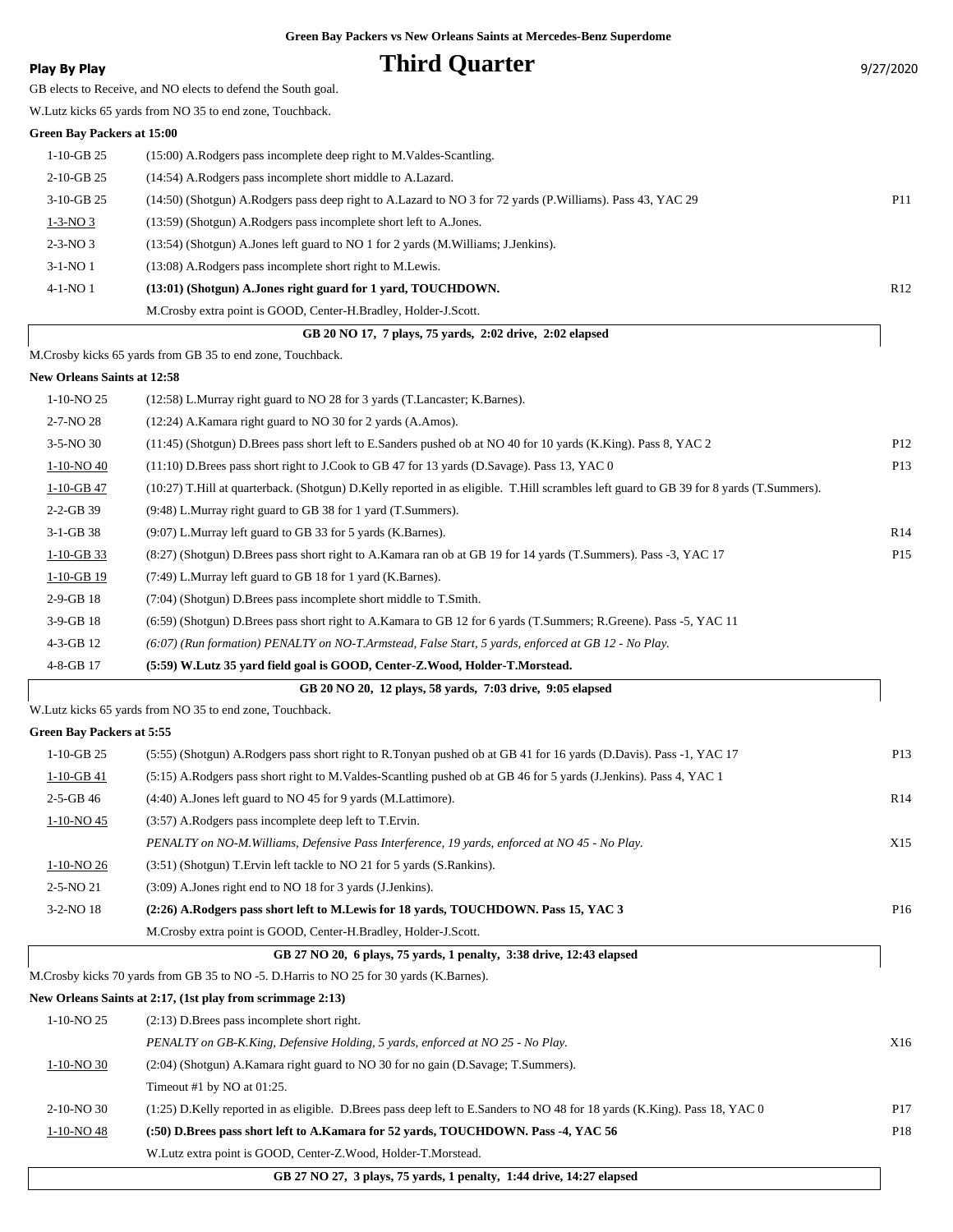### **Play By Play Play Play Play By Play Third Quarter Play By Play Play Play Play Play Play Play Play Play Play Play Play Play Play Play Play Play Play Play Play Play Play**

| GB elects to Receive, and NO elects to defend the South goal. |  |  |
|---------------------------------------------------------------|--|--|

W.Lutz kicks 65 yards from NO 35 to end zone, Touchback.

### **Green Bay Packers at 15:00**

| $1-10-GB$ 25   | (15:00) A.Rodgers pass incomplete deep right to M.Valdes-Scantling.                                        |                 |
|----------------|------------------------------------------------------------------------------------------------------------|-----------------|
| $2-10-GB$ 25   | (14:54) A.Rodgers pass incomplete short middle to A.Lazard.                                                |                 |
| $3-10-GB$ 25   | (14:50) (Shotgun) A.Rodgers pass deep right to A.Lazard to NO 3 for 72 yards (P.Williams). Pass 43, YAC 29 | P <sub>11</sub> |
| $1-3-NO3$      | (13:59) (Shotgun) A.Rodgers pass incomplete short left to A.Jones.                                         |                 |
| $2 - 3 - NO_3$ | (13:54) (Shotgun) A.Jones left guard to NO 1 for 2 yards (M.Williams; J.Jenkins).                          |                 |
| $3-1-NO1$      | (13:08) A.Rodgers pass incomplete short right to M.Lewis.                                                  |                 |
| $4-1-NO1$      | (13:01) (Shotgun) A.Jones right guard for 1 yard, TOUCHDOWN.                                               | R12             |
|                | M.Crosby extra point is GOOD, Center-H.Bradley, Holder-J.Scott.                                            |                 |

| GB 20 NO 17, 7 plays, 75 yards, 2:02 drive, 2:02 elapsed |  |
|----------------------------------------------------------|--|
|----------------------------------------------------------|--|

M.Crosby kicks 65 yards from GB 35 to end zone, Touchback.

### **New Orleans Saints at 12:58**

| vew Orieans Sanns at 12.36 |                                                                                                                                         |                 |
|----------------------------|-----------------------------------------------------------------------------------------------------------------------------------------|-----------------|
| $1-10-NO$ 25               | (12:58) L.Murray right guard to NO 28 for 3 yards (T.Lancaster; K.Barnes).                                                              |                 |
| $2 - 7 - NO 28$            | (12:24) A.Kamara right guard to NO 30 for 2 yards (A.Amos).                                                                             |                 |
| $3-5-NO30$                 | (11:45) (Shotgun) D.Brees pass short left to E.Sanders pushed ob at NO 40 for 10 yards (K.King). Pass 8, YAC 2                          | P <sub>12</sub> |
| $1-10-NO$ 40               | (11:10) D.Brees pass short right to J.Cook to GB 47 for 13 yards (D.Savage). Pass 13, YAC 0                                             | P <sub>13</sub> |
| $1-10-GB$ 47               | (10:27) T.Hill at quarterback. (Shotgun) D.Kelly reported in as eligible. T.Hill scrambles left guard to GB 39 for 8 yards (T.Summers). |                 |
| $2 - 2 - GB$ 39            | (9:48) L.Murray right guard to GB 38 for 1 yard (T.Summers).                                                                            |                 |
| $3-1-GB38$                 | (9:07) L.Murray left guard to GB 33 for 5 yards (K.Barnes).                                                                             | R14             |
| $1-10-GB$ 33               | (8:27) (Shotgun) D.Brees pass short right to A.Kamara ran ob at GB 19 for 14 yards (T.Summers). Pass -3, YAC 17                         | P <sub>15</sub> |
| $1-10-GB$ 19               | (7:49) L.Murray left guard to GB 18 for 1 yard (K.Barnes).                                                                              |                 |
| $2-9-GB$ 18                | $(7:04)$ (Shotgun) D. Brees pass incomplete short middle to T. Smith.                                                                   |                 |
| $3-9-GB$ 18                | (6:59) (Shotgun) D.Brees pass short right to A.Kamara to GB 12 for 6 yards (T.Summers; R.Greene). Pass -5, YAC 11                       |                 |
| $4-3-GB$ 12                | (6:07) (Run formation) PENALTY on NO-T.Armstead, False Start, 5 yards, enforced at GB 12 - No Play.                                     |                 |
| 4-8-GB 17                  | (5:59) W.Lutz 35 yard field goal is GOOD, Center-Z.Wood, Holder-T.Morstead.                                                             |                 |
|                            | GB 20 NO 20, 12 plays, 58 yards, 7:03 drive, 9:05 elapsed                                                                               |                 |

W.Lutz kicks 65 yards from NO 35 to end zone, Touchback.

**Green Bay Packers at 5:55**

| $1-10-GB$ 25   | (5:55) (Shotgun) A.Rodgers pass short right to R.Tonyan pushed ob at GB 41 for 16 yards (D.Davis). Pass -1, YAC 17 | P <sub>13</sub> |
|----------------|--------------------------------------------------------------------------------------------------------------------|-----------------|
| $1-10-GB$ 41   | (5:15) A.Rodgers pass short right to M.Valdes-Scantling pushed ob at GB 46 for 5 yards (J.Jenkins). Pass 4, YAC 1  |                 |
| $2-5-GB$ 46    | $(4:40)$ A. Jones left guard to NO 45 for 9 yards (M. Lattimore).                                                  | R14             |
| 1-10-NO 45     | (3:57) A.Rodgers pass incomplete deep left to T.Ervin.                                                             |                 |
|                | PENALTY on NO-M. Williams, Defensive Pass Interference, 19 yards, enforced at NO 45 - No Play.                     | X15             |
| 1-10-NO 26     | (3:51) (Shotgun) T. Ervin left tackle to NO 21 for 5 yards (S. Rankins).                                           |                 |
| $2 - 5 - NO21$ | $(3:09)$ A. Jones right end to NO 18 for 3 yards (J. Jenkins).                                                     |                 |
| $3-2-NO$ 18    | (2:26) A.Rodgers pass short left to M.Lewis for 18 yards, TOUCHDOWN. Pass 15, YAC 3                                | P <sub>16</sub> |
|                | M. Crosby extra point is GOOD, Center-H. Bradley, Holder-J. Scott.                                                 |                 |

### **GB 27 NO 20, 6 plays, 75 yards, 1 penalty, 3:38 drive, 12:43 elapsed**

M.Crosby kicks 70 yards from GB 35 to NO -5. D.Harris to NO 25 for 30 yards (K.Barnes).

| New Orleans Saints at 2:17, (1st play from scrimmage 2:13) |  |
|------------------------------------------------------------|--|
|                                                            |  |

| 1-10-NO 25   | $(2:13)$ D. Brees pass incomplete short right.                                                                             |                 |
|--------------|----------------------------------------------------------------------------------------------------------------------------|-----------------|
|              | PENALTY on GB-K.King, Defensive Holding, 5 yards, enforced at NO 25 - No Play.                                             | X16             |
| $1-10-NO$ 30 | (2:04) (Shotgun) A.Kamara right guard to NO 30 for no gain (D.Savage; T.Summers).                                          |                 |
|              | Timeout #1 by NO at $01:25$ .                                                                                              |                 |
| $2-10-NO$ 30 | (1:25) D.Kelly reported in as eligible. D.Brees pass deep left to E.Sanders to NO 48 for 18 yards (K.King). Pass 18, YAC 0 | P <sub>17</sub> |
| 1-10-NO 48   | (:50) D.Brees pass short left to A.Kamara for 52 yards, TOUCHDOWN. Pass -4, YAC 56                                         | P <sub>18</sub> |
|              | W. Lutz extra point is GOOD, Center-Z. Wood, Holder-T. Morstead.                                                           |                 |

 **GB 27 NO 27, 3 plays, 75 yards, 1 penalty, 1:44 drive, 14:27 elapsed**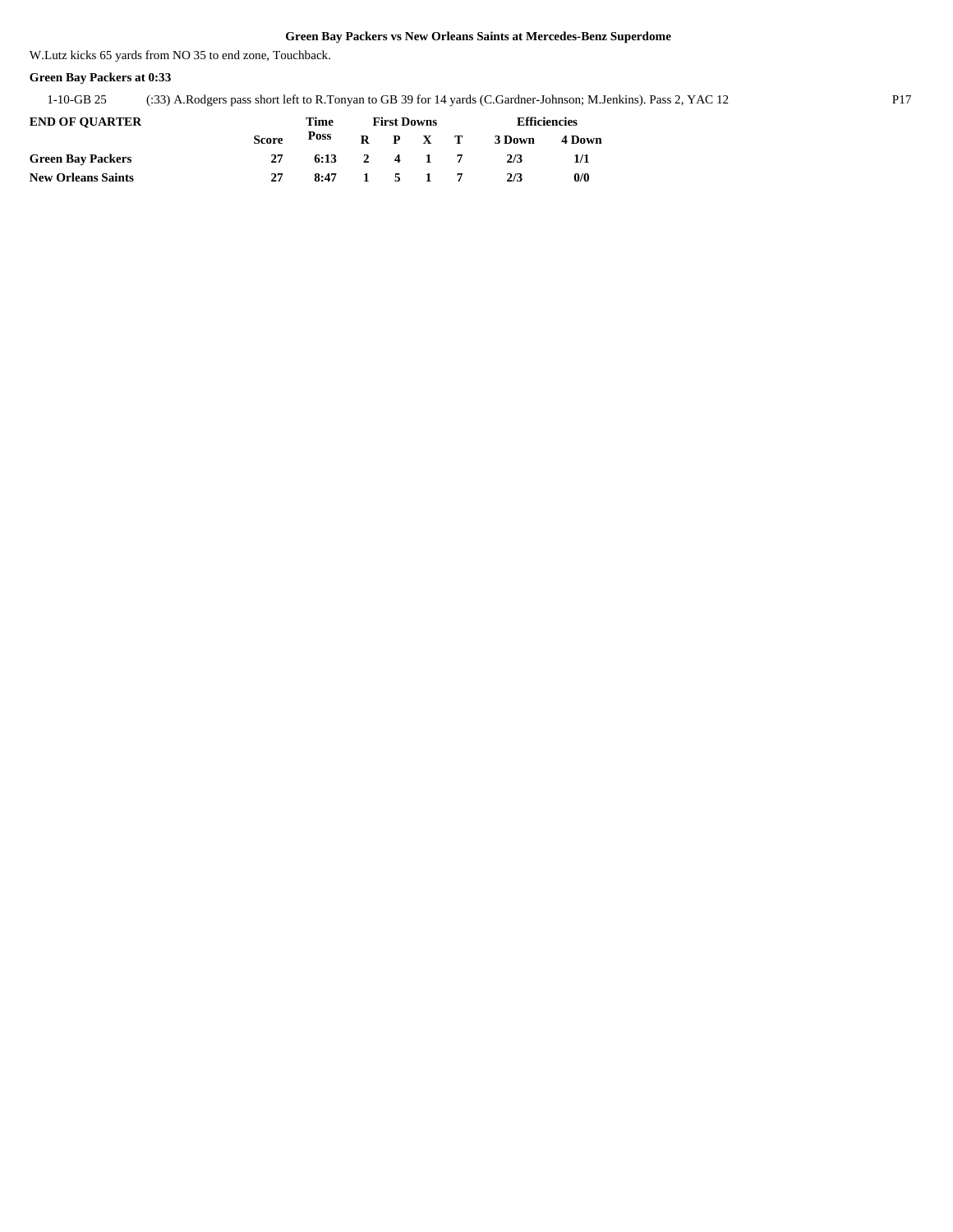W.Lutz kicks 65 yards from NO 35 to end zone, Touchback.

### **Green Bay Packers at 0:33**

1-10-GB 25 (:33) A.Rodgers pass short left to R.Tonyan to GB 39 for 14 yards (C.Gardner-Johnson; M.Jenkins). Pass 2, YAC 12 P17

| <b>END OF OUARTER</b>     |              | Time |              | <b>First Downs</b> | <b>Efficiencies</b> |        |        |  |
|---------------------------|--------------|------|--------------|--------------------|---------------------|--------|--------|--|
|                           | <b>Score</b> | Poss | $\mathbf{R}$ | P X T              |                     | 3 Down | 4 Down |  |
| <b>Green Bay Packers</b>  |              | 6:13 |              | 2 4 1              |                     | 2/3    |        |  |
| <b>New Orleans Saints</b> | 27           | 8:47 |              | 51                 |                     | 2/3    | 0/0    |  |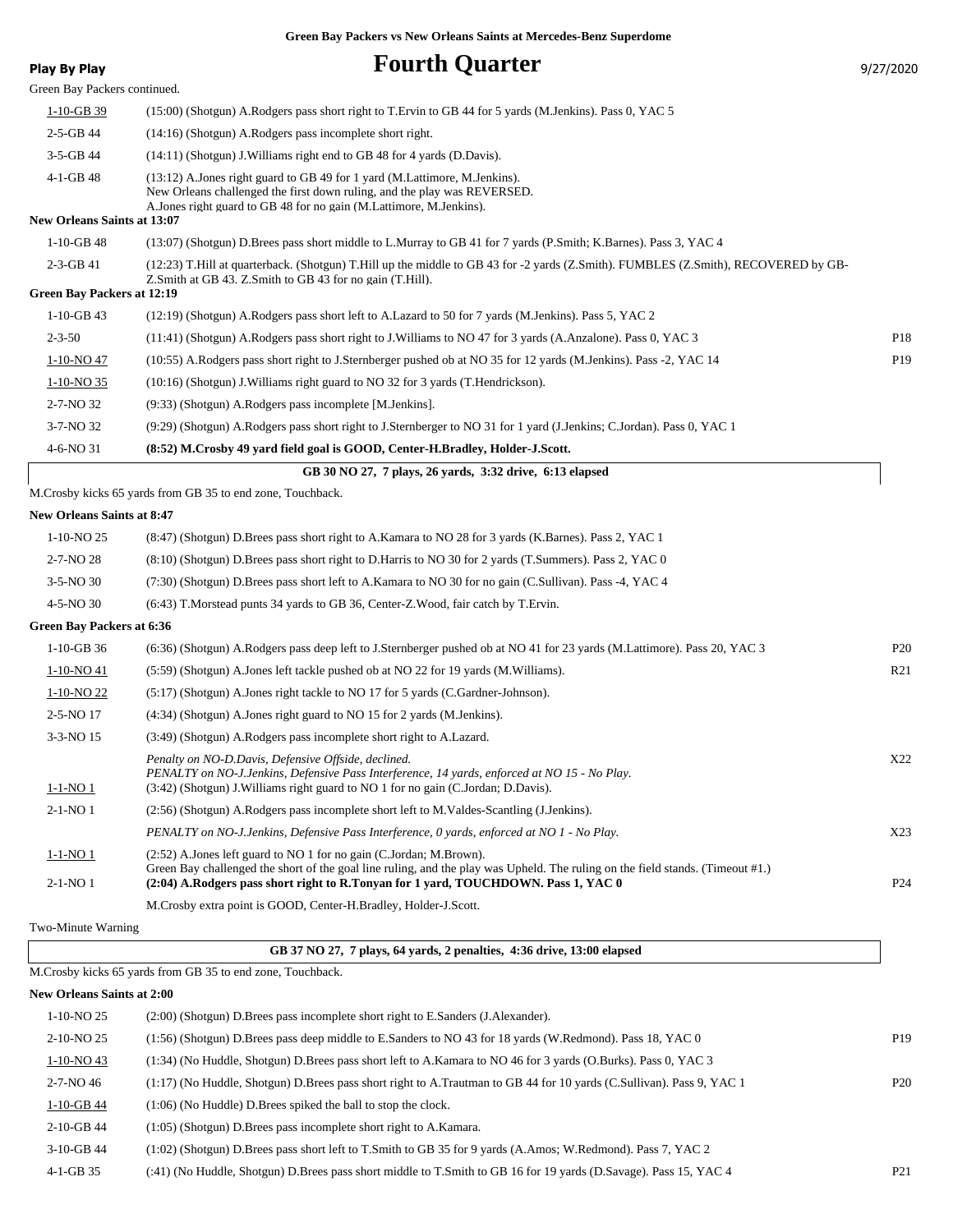| <b>Play By Play</b>                | <b>Fourth Quarter</b>                                                                                                                                                                                                                      | 9/27/2020       |
|------------------------------------|--------------------------------------------------------------------------------------------------------------------------------------------------------------------------------------------------------------------------------------------|-----------------|
| Green Bay Packers continued.       |                                                                                                                                                                                                                                            |                 |
| $1-10-GB$ 39                       | (15:00) (Shotgun) A.Rodgers pass short right to T.Ervin to GB 44 for 5 yards (M.Jenkins). Pass 0, YAC 5                                                                                                                                    |                 |
| $2 - 5 - GB$ 44                    | (14:16) (Shotgun) A.Rodgers pass incomplete short right.                                                                                                                                                                                   |                 |
| 3-5-GB 44                          | (14:11) (Shotgun) J. Williams right end to GB 48 for 4 yards (D. Davis).                                                                                                                                                                   |                 |
| $4-1-GB$ 48                        | (13:12) A.Jones right guard to GB 49 for 1 yard (M.Lattimore, M.Jenkins).<br>New Orleans challenged the first down ruling, and the play was REVERSED.                                                                                      |                 |
| <b>New Orleans Saints at 13:07</b> | A. Jones right guard to GB 48 for no gain (M. Lattimore, M. Jenkins).                                                                                                                                                                      |                 |
| $1-10-GB$ 48                       | (13:07) (Shotgun) D.Brees pass short middle to L.Murray to GB 41 for 7 yards (P.Smith; K.Barnes). Pass 3, YAC 4                                                                                                                            |                 |
| $2-3-GB$ 41                        | (12:23) T.Hill at quarterback. (Shotgun) T.Hill up the middle to GB 43 for -2 yards (Z.Smith). FUMBLES (Z.Smith), RECOVERED by GB-                                                                                                         |                 |
| Green Bay Packers at 12:19         | Z. Smith at GB 43. Z. Smith to GB 43 for no gain (T. Hill).                                                                                                                                                                                |                 |
| $1-10-GB$ 43                       |                                                                                                                                                                                                                                            |                 |
| $2 - 3 - 50$                       | (12:19) (Shotgun) A.Rodgers pass short left to A.Lazard to 50 for 7 yards (M.Jenkins). Pass 5, YAC 2<br>(11:41) (Shotgun) A.Rodgers pass short right to J.Williams to NO 47 for 3 yards (A.Anzalone). Pass 0, YAC 3                        | P18             |
|                                    |                                                                                                                                                                                                                                            | P <sub>19</sub> |
| $1-10-NO$ 47                       | (10:55) A.Rodgers pass short right to J.Sternberger pushed ob at NO 35 for 12 yards (M.Jenkins). Pass -2, YAC 14<br>(10:16) (Shotgun) J. Williams right guard to NO 32 for 3 yards (T. Hendrickson).                                       |                 |
| $1-10-NO$ 35                       |                                                                                                                                                                                                                                            |                 |
| 2-7-NO 32                          | (9:33) (Shotgun) A.Rodgers pass incomplete [M.Jenkins].                                                                                                                                                                                    |                 |
| 3-7-NO 32                          | (9:29) (Shotgun) A.Rodgers pass short right to J.Sternberger to NO 31 for 1 yard (J.Jenkins; C.Jordan). Pass 0, YAC 1                                                                                                                      |                 |
| 4-6-NO 31                          | (8:52) M.Crosby 49 yard field goal is GOOD, Center-H.Bradley, Holder-J.Scott.                                                                                                                                                              |                 |
|                                    | GB 30 NO 27, 7 plays, 26 yards, 3:32 drive, 6:13 elapsed                                                                                                                                                                                   |                 |
|                                    | M. Crosby kicks 65 yards from GB 35 to end zone, Touchback.                                                                                                                                                                                |                 |
| <b>New Orleans Saints at 8:47</b>  |                                                                                                                                                                                                                                            |                 |
| 1-10-NO <sub>25</sub>              | (8:47) (Shotgun) D.Brees pass short right to A.Kamara to NO 28 for 3 yards (K.Barnes). Pass 2, YAC 1                                                                                                                                       |                 |
| $2 - 7 - NO 28$                    | (8:10) (Shotgun) D.Brees pass short right to D.Harris to NO 30 for 2 yards (T.Summers). Pass 2, YAC 0                                                                                                                                      |                 |
| $3-5-NO$ 30                        | (7:30) (Shotgun) D.Brees pass short left to A.Kamara to NO 30 for no gain (C.Sullivan). Pass -4, YAC 4                                                                                                                                     |                 |
| 4-5-NO 30                          | (6:43) T.Morstead punts 34 yards to GB 36, Center-Z.Wood, fair catch by T.Ervin.                                                                                                                                                           |                 |
| <b>Green Bay Packers at 6:36</b>   |                                                                                                                                                                                                                                            |                 |
| $1-10-GB$ 36                       | (6:36) (Shotgun) A.Rodgers pass deep left to J.Sternberger pushed ob at NO 41 for 23 yards (M.Lattimore). Pass 20, YAC 3                                                                                                                   | P <sub>20</sub> |
| 1-10-NO 41                         | (5:59) (Shotgun) A.Jones left tackle pushed ob at NO 22 for 19 yards (M.Williams).                                                                                                                                                         | R <sub>21</sub> |
| 1-10-NO <sub>22</sub>              | (5.17) (Shotgun) A.Jones right tackle to NO 17 for 5 yards (C.Gardner-Johnson).                                                                                                                                                            |                 |
| 2-5-NO 17                          | (4:34) (Shotgun) A. Jones right guard to NO 15 for 2 yards (M. Jenkins).                                                                                                                                                                   |                 |
| 3-3-NO 15                          | (3:49) (Shotgun) A.Rodgers pass incomplete short right to A.Lazard.                                                                                                                                                                        |                 |
| $1 - 1 - NO_1$                     | Penalty on NO-D.Davis, Defensive Offside, declined.<br>PENALTY on NO-J.Jenkins, Defensive Pass Interference, 14 yards, enforced at NO 15 - No Play.<br>(3:42) (Shotgun) J. Williams right guard to NO 1 for no gain (C. Jordan; D. Davis). | X22             |
| $2-1-NO1$                          | (2:56) (Shotgun) A.Rodgers pass incomplete short left to M.Valdes-Scantling (J.Jenkins).                                                                                                                                                   |                 |
|                                    | PENALTY on NO-J.Jenkins, Defensive Pass Interference, 0 yards, enforced at NO 1 - No Play.                                                                                                                                                 | X23             |
| <u>1-1-NO 1</u>                    | (2:52) A.Jones left guard to NO 1 for no gain (C.Jordan; M.Brown).<br>Green Bay challenged the short of the goal line ruling, and the play was Upheld. The ruling on the field stands. (Timeout #1.)                                       |                 |
| $2-1-NO1$                          | (2:04) A.Rodgers pass short right to R.Tonyan for 1 yard, TOUCHDOWN. Pass 1, YAC 0                                                                                                                                                         | P <sub>24</sub> |
|                                    | M.Crosby extra point is GOOD, Center-H.Bradley, Holder-J.Scott.                                                                                                                                                                            |                 |
| Two-Minute Warning                 |                                                                                                                                                                                                                                            |                 |
|                                    | GB 37 NO 27, 7 plays, 64 yards, 2 penalties, 4:36 drive, 13:00 elapsed                                                                                                                                                                     |                 |
|                                    | M.Crosby kicks 65 yards from GB 35 to end zone, Touchback.                                                                                                                                                                                 |                 |
| <b>New Orleans Saints at 2:00</b>  |                                                                                                                                                                                                                                            |                 |
| 1-10-NO <sub>25</sub>              | (2:00) (Shotgun) D.Brees pass incomplete short right to E.Sanders (J.Alexander).                                                                                                                                                           |                 |
| 2-10-NO <sub>25</sub>              | (1:56) (Shotgun) D.Brees pass deep middle to E.Sanders to NO 43 for 18 yards (W.Redmond). Pass 18, YAC 0                                                                                                                                   | P <sub>19</sub> |
| $1-10-NO$ 43                       | (1:34) (No Huddle, Shotgun) D.Brees pass short left to A.Kamara to NO 46 for 3 yards (O.Burks). Pass 0, YAC 3                                                                                                                              |                 |
| $2 - 7 - NO_46$                    | (1:17) (No Huddle, Shotgun) D.Brees pass short right to A.Trautman to GB 44 for 10 yards (C.Sullivan). Pass 9, YAC 1                                                                                                                       | P <sub>20</sub> |
| 1-10-GB 44                         | $(1:06)$ (No Huddle) D. Brees spiked the ball to stop the clock.                                                                                                                                                                           |                 |

2-10-GB 44 (1:05) (Shotgun) D.Brees pass incomplete short right to A.Kamara.

4-1-GB 35 (:41) (No Huddle, Shotgun) D.Brees pass short middle to T.Smith to GB 16 for 19 yards (D.Savage). Pass 15, YAC 4 P21

<sup>3-10-</sup>GB 44 (1:02) (Shotgun) D.Brees pass short left to T.Smith to GB 35 for 9 yards (A.Amos; W.Redmond). Pass 7, YAC 2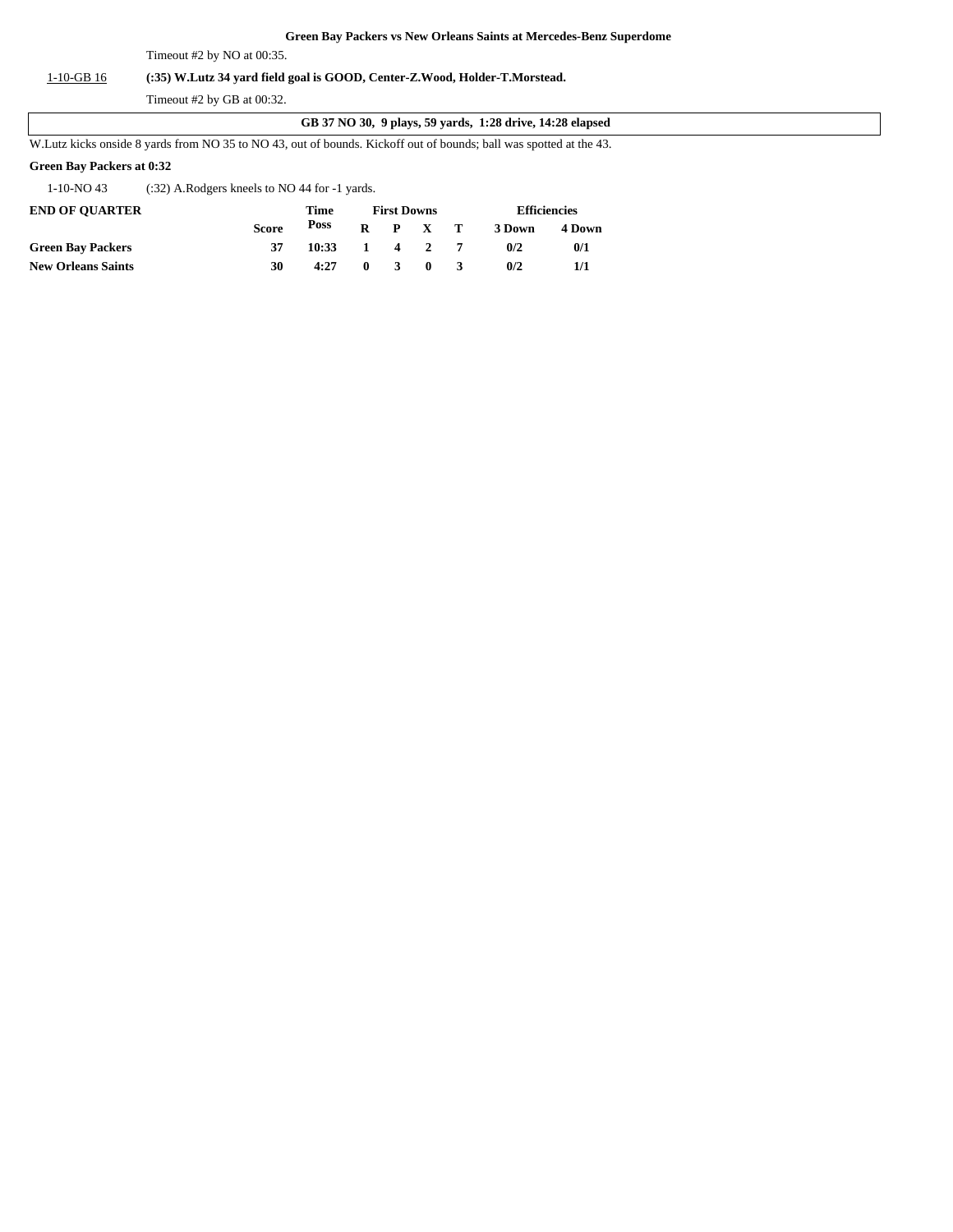Timeout #2 by NO at 00:35.

### 1-10-GB 16 **(:35) W.Lutz 34 yard field goal is GOOD, Center-Z.Wood, Holder-T.Morstead.**

Timeout #2 by GB at 00:32.

#### **GB 37 NO 30, 9 plays, 59 yards, 1:28 drive, 14:28 elapsed**

W.Lutz kicks onside 8 yards from NO 35 to NO 43, out of bounds. Kickoff out of bounds; ball was spotted at the 43.

### **Green Bay Packers at 0:32**

1-10-NO 43 (:32) A.Rodgers kneels to NO 44 for -1 yards.

| <b>END OF OUARTER</b>     |       | Time            |              | <b>First Downs</b> | <b>Efficiencies</b> |        |  |
|---------------------------|-------|-----------------|--------------|--------------------|---------------------|--------|--|
|                           | Score | Poss            |              | $R$ $P$ $X$ $T$    | 3 Down              | 4 Down |  |
| <b>Green Bay Packers</b>  |       | $10:33$ 1 4 2 7 |              |                    | 0/2                 | 0/1    |  |
| <b>New Orleans Saints</b> | 30    | 4:27            | $\mathbf{0}$ | 3 0 3              | 0/2                 | 1/1    |  |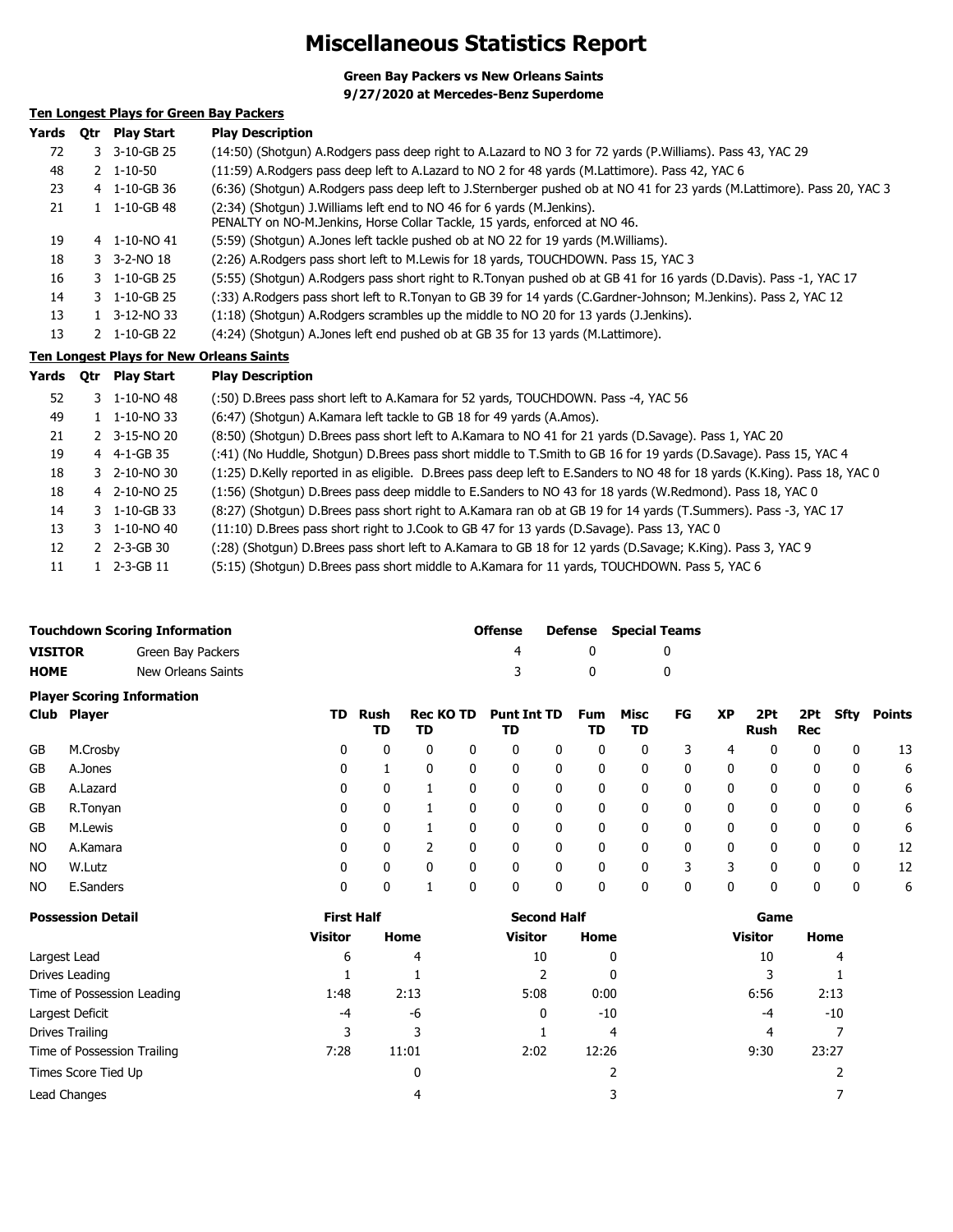# **Miscellaneous Statistics Report**

**Green Bay Packers vs New Orleans Saints**

**9/27/2020 at Mercedes-Benz Superdome**

### **Ten Longest Plays for Green Bay Packers**

| Yards | 0tr | <b>Play Start</b>              | <b>Play Description</b>                                                                                                                                |
|-------|-----|--------------------------------|--------------------------------------------------------------------------------------------------------------------------------------------------------|
| 72    |     | 3 3-10-GB 25                   | (14:50) (Shotgun) A.Rodgers pass deep right to A.Lazard to NO 3 for 72 yards (P.Williams). Pass 43, YAC 29                                             |
| 48    |     | $2 \quad 1 - 10 - 50$          | (11:59) A.Rodgers pass deep left to A.Lazard to NO 2 for 48 yards (M.Lattimore). Pass 42, YAC 6                                                        |
| 23    |     | 4 1-10-GB 36                   | (6:36) (Shotgun) A.Rodgers pass deep left to J.Sternberger pushed ob at NO 41 for 23 yards (M.Lattimore). Pass 20, YAC 3                               |
| 21    |     | $1 \quad 1 - 10 - GB$ 48       | (2:34) (Shotgun) J. Williams left end to NO 46 for 6 yards (M. Jenkins).<br>PENALTY on NO-M.Jenkins, Horse Collar Tackle, 15 yards, enforced at NO 46. |
| 19    |     | 4 1-10-NO 41                   | (5:59) (Shotgun) A.Jones left tackle pushed ob at NO 22 for 19 yards (M.Williams).                                                                     |
| 18    |     | $3 - 3 - 2 - NO$ 18            | (2:26) A. Rodgers pass short left to M. Lewis for 18 yards, TOUCHDOWN. Pass 15, YAC 3                                                                  |
| 16    |     | $3 \quad 1 - 10 - GB$ 25       | (5:55) (Shotgun) A.Rodgers pass short right to R.Tonyan pushed ob at GB 41 for 16 yards (D.Davis). Pass -1, YAC 17                                     |
| 14    |     | 3 1-10-GB 25                   | (:33) A.Rodgers pass short left to R.Tonyan to GB 39 for 14 yards (C.Gardner-Johnson; M.Jenkins). Pass 2, YAC 12                                       |
| 13    |     | 1 3-12-NO 33                   | (1:18) (Shotqun) A.Rodgers scrambles up the middle to NO 20 for 13 yards (J.Jenkins).                                                                  |
| 13    |     | $2 \quad 1 - 10 - GB \quad 22$ | (4:24) (Shotgun) A.Jones left end pushed ob at GB 35 for 13 yards (M.Lattimore).                                                                       |
|       |     |                                | Ten Longest Plays for New Orleans Saints                                                                                                               |

**Yards Qtr Play Start Play Description**

| 52 | $3 \quad 1 - 10 - NO \quad 48$ | (:50) D.Brees pass short left to A.Kamara for 52 yards, TOUCHDOWN. Pass -4, YAC 56                                         |
|----|--------------------------------|----------------------------------------------------------------------------------------------------------------------------|
| 49 | 1 1-10-NO 33                   | (6:47) (Shotgun) A.Kamara left tackle to GB 18 for 49 yards (A.Amos).                                                      |
| 21 | 2 3-15-NO 20                   | (8:50) (Shotqun) D.Brees pass short left to A.Kamara to NO 41 for 21 yards (D.Savage). Pass 1, YAC 20                      |
| 19 | 4 4-1-GB 35                    | (:41) (No Huddle, Shotgun) D.Brees pass short middle to T.Smith to GB 16 for 19 yards (D.Savage). Pass 15, YAC 4           |
| 18 | 3 2-10-NO 30                   | (1:25) D.Kelly reported in as eligible. D.Brees pass deep left to E.Sanders to NO 48 for 18 yards (K.King). Pass 18, YAC 0 |
| 18 | 4 2-10-NO 25                   | (1:56) (Shotgun) D.Brees pass deep middle to E.Sanders to NO 43 for 18 yards (W.Redmond). Pass 18, YAC 0                   |
| 14 | 3 1-10-GB 33                   | (8:27) (Shotgun) D.Brees pass short right to A.Kamara ran ob at GB 19 for 14 yards (T.Summers). Pass -3, YAC 17            |
| 13 | $3 \quad 1 - 10 - NO \quad 40$ | (11:10) D.Brees pass short right to J.Cook to GB 47 for 13 yards (D.Savage). Pass 13, YAC 0                                |
| 12 | 2 2-3-GB 30                    | (:28) (Shotgun) D.Brees pass short left to A.Kamara to GB 18 for 12 yards (D.Savage; K.King). Pass 3, YAC 9                |
| 11 | 1 2-3-GB 11                    | (5:15) (Shotgun) D.Brees pass short middle to A.Kamara for 11 yards, TOUCHDOWN. Pass 5, YAC 6                              |

| <b>Touchdown Scoring Information</b> |                    | <b>Offense</b> |   | <b>Defense</b> Special Teams |  |  |  |
|--------------------------------------|--------------------|----------------|---|------------------------------|--|--|--|
| <b>VISITOR</b>                       | Green Bay Packers  | 4              |   |                              |  |  |  |
| <b>HOME</b>                          | New Orleans Saints | -3             | 0 |                              |  |  |  |
| <b>Player Scoring Information</b>    |                    |                |   |                              |  |  |  |

|     | Club Player |   | TD Rush<br>TD | <b>Rec KO TD</b><br>TD |   | Punt Int TD<br>TD |   | Fum<br>TD | Misc<br>TD | FG | <b>XP</b> | 2Pt<br>Rush | 2Pt<br>Rec | Sfty | Points |
|-----|-------------|---|---------------|------------------------|---|-------------------|---|-----------|------------|----|-----------|-------------|------------|------|--------|
| GB  | M.Crosby    | 0 | 0             | $\mathbf{0}$           | 0 | 0                 | 0 | 0         | 0          |    | 4         | 0           | 0          | 0    | 13     |
| GB  | A.Jones     | 0 |               | 0                      | 0 | 0                 | 0 | 0         | 0          | 0  | 0         | 0           | 0          | 0    | 6      |
| GB  | A.Lazard    | 0 | 0             |                        | 0 | 0                 | 0 | 0         | 0          | 0  | 0         | 0           | 0          | 0    | 6      |
| GB  | R.Tonyan    | 0 | 0             |                        | 0 | 0                 | 0 | 0         | 0          | 0  | 0         | 0           | 0          | 0    | 6      |
| GB  | M.Lewis     | 0 | 0             |                        | 0 | 0                 | 0 | 0         | 0          | 0  | 0         | 0           | 0          | 0    | 6      |
| NO. | A.Kamara    | 0 | 0             |                        | 0 | 0                 | 0 | 0         | 0          | 0  | 0         | 0           | 0          | 0    | 12     |
| NO. | W.Lutz      | 0 | 0             |                        | 0 | 0                 | 0 | 0         | 0          | 3  | 3         |             | 0          | 0    | 12     |
| NO. | E.Sanders   | 0 | 0             |                        | 0 | 0                 | 0 | 0         | 0          | 0  | 0         |             | 0          | 0    | 6      |

| <b>Possession Detail</b>    | <b>First Half</b> | Home<br>4<br>2:13<br>-6<br>3<br>11:01<br>0 | <b>Second Half</b> |       | Game           |       |  |
|-----------------------------|-------------------|--------------------------------------------|--------------------|-------|----------------|-------|--|
|                             | <b>Visitor</b>    |                                            | <b>Visitor</b>     | Home  | <b>Visitor</b> | Home  |  |
| Largest Lead                | 6                 |                                            | 10                 | 0     | 10             | 4     |  |
| Drives Leading              |                   |                                            |                    | 0     |                |       |  |
| Time of Possession Leading  | 1:48              |                                            | 5:08               | 0:00  | 6:56           | 2:13  |  |
| Largest Deficit             | $-4$              |                                            | 0                  | $-10$ | -4             | $-10$ |  |
| Drives Trailing             | 3                 |                                            |                    | 4     | 4              |       |  |
| Time of Possession Trailing | 7:28              |                                            | 2:02               | 12:26 | 9:30           | 23:27 |  |
| Times Score Tied Up         |                   |                                            |                    |       |                |       |  |
| Lead Changes                |                   | 4                                          |                    |       |                |       |  |